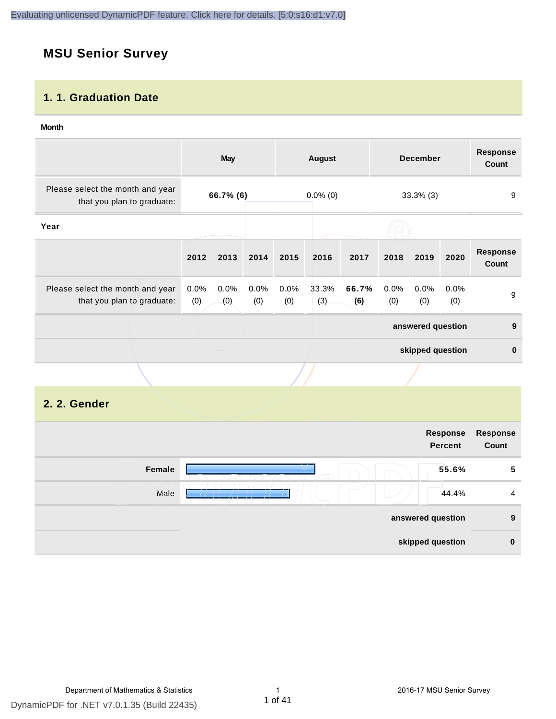## **MSU Senior Survey**

### **1. 1. Graduation Date**

#### **Month**

|                                                                |             | <b>May</b>  |             |             | <b>August</b> |              |             | <b>December</b>   |             | <b>Response</b><br><b>Count</b> |
|----------------------------------------------------------------|-------------|-------------|-------------|-------------|---------------|--------------|-------------|-------------------|-------------|---------------------------------|
| Please select the month and year<br>that you plan to graduate: | 66.7% (6)   |             | $0.0\%$ (0) |             | $33.3\%$ (3)  |              | 9           |                   |             |                                 |
| Year                                                           |             |             |             |             |               |              |             |                   |             |                                 |
|                                                                | 2012        | 2013        | 2014        | 2015        | 2016          | 2017         | 2018        | 2019              | 2020        | <b>Response</b><br>Count        |
| Please select the month and year<br>that you plan to graduate: | 0.0%<br>(0) | 0.0%<br>(0) | 0.0%<br>(0) | 0.0%<br>(0) | 33.3%<br>(3)  | 66.7%<br>(6) | 0.0%<br>(0) | 0.0%<br>(0)       | 0.0%<br>(0) | 9                               |
|                                                                |             |             |             |             |               |              |             | answered question |             | 9                               |
|                                                                |             |             |             |             |               |              |             | skipped question  |             | 0                               |
|                                                                |             |             |             |             |               |              |             |                   |             |                                 |

## **2. 2. Gender**

| <b>Response</b><br>Count | Response<br><b>Percent</b> |        |
|--------------------------|----------------------------|--------|
|                          |                            |        |
| 5                        | 55.6%                      | Female |
| $\overline{4}$           | 44.4%                      | Male   |
| 9                        | answered question          |        |
| $\bf{0}$                 | skipped question           |        |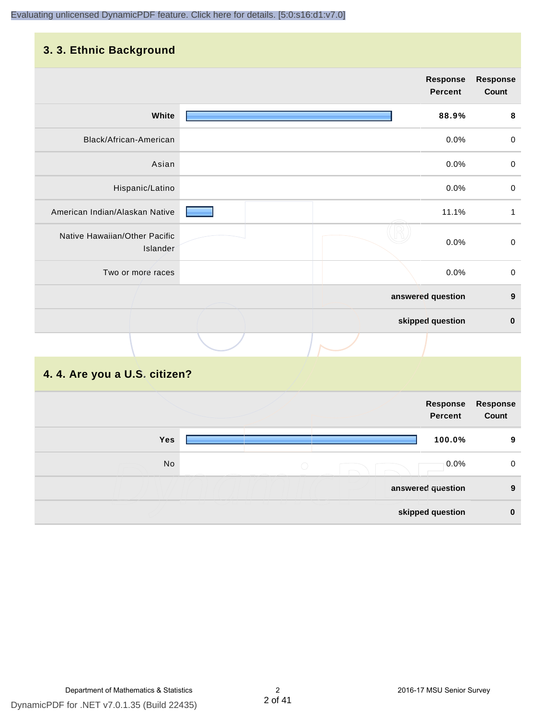## **3. 3. Ethnic Background**

|                                           | <b>Response</b><br><b>Percent</b> | <b>Response</b><br>Count |
|-------------------------------------------|-----------------------------------|--------------------------|
| White                                     | 88.9%                             | $\pmb{8}$                |
| Black/African-American                    | 0.0%                              | $\mathbf 0$              |
| Asian                                     | 0.0%                              | $\mathbf 0$              |
| Hispanic/Latino                           | 0.0%                              | $\mathbf 0$              |
| American Indian/Alaskan Native            | 11.1%                             | $\mathbf{1}$             |
| Native Hawaiian/Other Pacific<br>Islander | 0.0%                              | $\boldsymbol{0}$         |
| Two or more races                         | 0.0%                              | $\mathbf 0$              |
|                                           | answered question                 | $\boldsymbol{9}$         |
|                                           | skipped question                  | $\pmb{0}$                |
|                                           |                                   |                          |
| .                                         |                                   |                          |

#### **4. 4. Are you a U.S. citizen?**

|            | Response<br>Percent   | <b>Response</b><br>Count |
|------------|-----------------------|--------------------------|
| <b>Yes</b> | 100.0%                | 9                        |
| No         | $0.0\%$<br>$\bigcirc$ | 0                        |
|            | answered question     | 9                        |
|            | skipped question      | $\bf{0}$                 |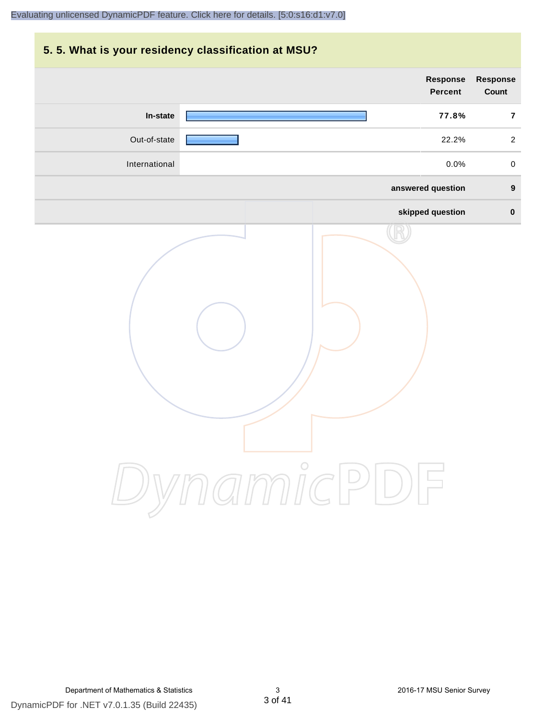## **5. 5. What is your residency classification at MSU?**

|               | Response<br><b>Percent</b> | Response<br>Count   |
|---------------|----------------------------|---------------------|
| In-state      | 77.8%                      | $\overline{7}$      |
| Out-of-state  | 22.2%                      | $\overline{a}$      |
| International | 0.0%                       | $\mathsf{O}\xspace$ |
|               | answered question          | $\boldsymbol{9}$    |
|               | skipped question           | $\pmb{0}$           |
|               | ynamicPD                   |                     |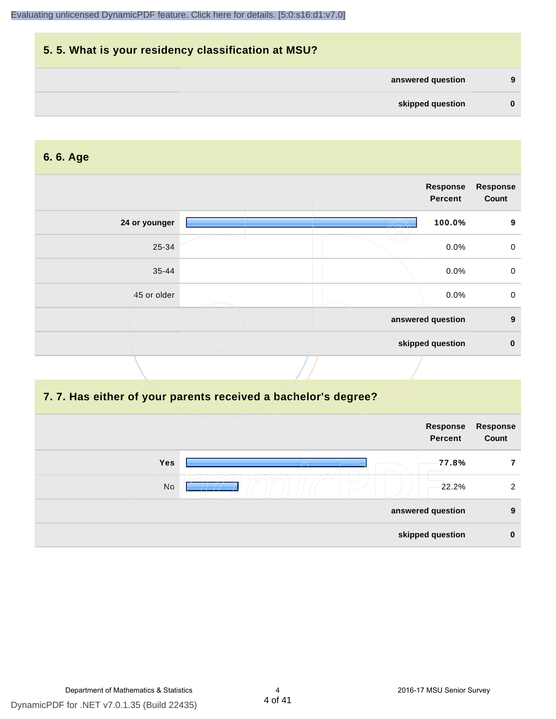# **5. 5. What is your residency classification at MSU? answered question 9 skipped question 0**

#### **6. 6. Age**

|               |  | <b>Response</b><br>Percent | <b>Response</b><br>Count |
|---------------|--|----------------------------|--------------------------|
| 24 or younger |  | 100.0%                     | 9                        |
| 25-34         |  | 0.0%                       | $\mathbf 0$              |
| $35 - 44$     |  | 0.0%                       | $\mathbf 0$              |
| 45 or older   |  | 0.0%                       | $\boldsymbol{0}$         |
|               |  | answered question          | $\boldsymbol{9}$         |
|               |  | skipped question           | $\mathbf 0$              |
|               |  |                            |                          |

#### **7. 7. Has either of your parents received a bachelor's degree?**

| Response<br>Count | Response<br><b>Percent</b> |          |           |
|-------------------|----------------------------|----------|-----------|
|                   | 77.8%                      | $\smile$ | Yes       |
| 2                 | 22.2%                      |          | <b>No</b> |
| 9                 | answered question          |          |           |
| $\mathbf 0$       | skipped question           |          |           |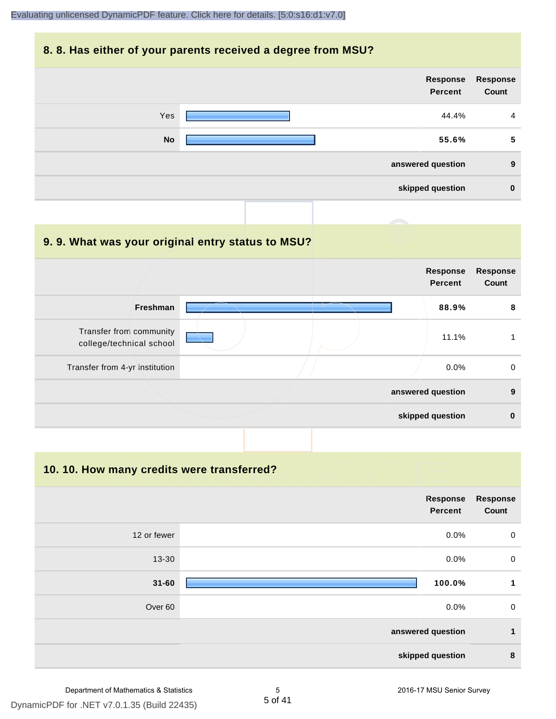#### **8. 8. Has either of your parents received a degree from MSU?**

| Yes<br>44.4%       | $\overline{4}$ |
|--------------------|----------------|
|                    |                |
| <b>No</b><br>55.6% | 5              |
| answered question  | 9              |
| skipped question   | $\mathbf 0$    |

#### **9. 9. What was your original entry status to MSU?**

|                                                     |  | <b>Response</b><br><b>Percent</b> | <b>Response</b><br>Count |
|-----------------------------------------------------|--|-----------------------------------|--------------------------|
| Freshman                                            |  | 88.9%                             | 8                        |
| Transfer from community<br>college/technical school |  | 11.1%                             |                          |
| Transfer from 4-yr institution                      |  | $0.0\%$                           | $\mathbf 0$              |
|                                                     |  | answered question                 | 9                        |
|                                                     |  | skipped question                  | $\bf{0}$                 |

**10. 10. How many credits were transferred?**

|                    | <b>Response</b><br><b>Percent</b> | Response<br>Count |
|--------------------|-----------------------------------|-------------------|
| 12 or fewer        | 0.0%                              | $\boldsymbol{0}$  |
| $13 - 30$          | 0.0%                              | $\boldsymbol{0}$  |
| $31 - 60$          | 100.0%                            | 1                 |
| Over <sub>60</sub> | 0.0%                              | $\boldsymbol{0}$  |
|                    | answered question                 | $\mathbf{1}$      |
|                    | skipped question                  | 8                 |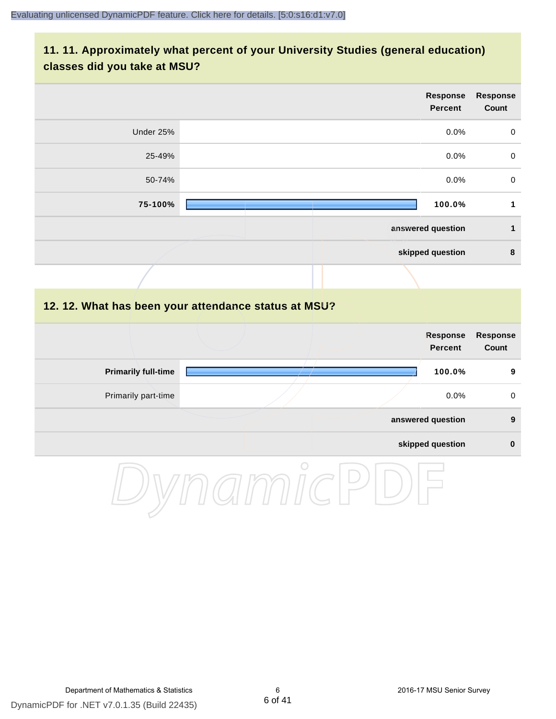## **11. 11. Approximately what percent of your University Studies (general education) classes did you take at MSU?**

|                            | <b>Response</b><br><b>Percent</b>                    | <b>Response</b><br>Count        |
|----------------------------|------------------------------------------------------|---------------------------------|
| Under 25%                  | 0.0%                                                 | $\pmb{0}$                       |
| 25-49%                     | 0.0%                                                 | $\mathbf 0$                     |
| 50-74%                     | 0.0%                                                 | $\mathbf 0$                     |
| 75-100%                    | 100.0%                                               | $\mathbf{1}$                    |
|                            | answered question                                    | $\mathbf{1}$                    |
|                            | skipped question                                     | $\bf8$                          |
|                            |                                                      |                                 |
|                            | 12. 12. What has been your attendance status at MSU? |                                 |
|                            | <b>Response</b><br><b>Percent</b>                    | <b>Response</b><br><b>Count</b> |
| <b>Primarily full-time</b> | 100.0%                                               | 9                               |
| Primarily part-time        | 0.0%                                                 | $\mathbf 0$                     |
|                            | answered question                                    | $\boldsymbol{9}$                |
|                            | skipped question                                     | $\pmb{0}$                       |
|                            | $\bigcirc$                                           |                                 |

DynamicPDF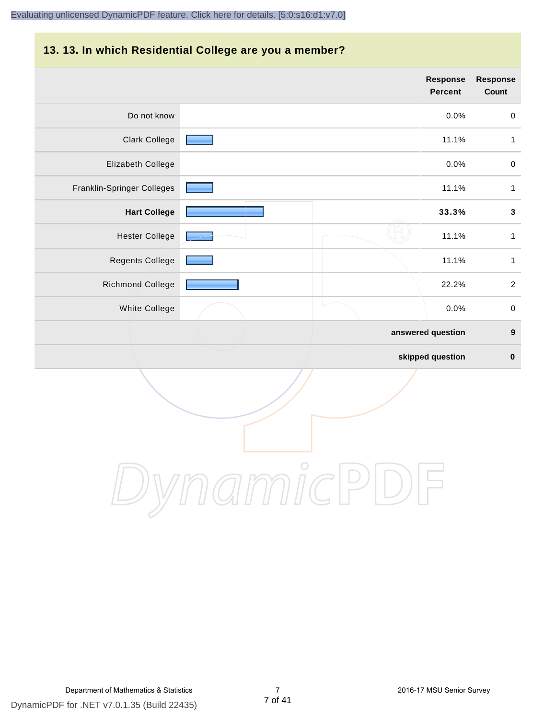#### **13. 13. In which Residential College are you a member?**

|                            | <b>Response</b><br><b>Percent</b> | <b>Response</b><br>Count |
|----------------------------|-----------------------------------|--------------------------|
| Do not know                | 0.0%                              | $\mathbf 0$              |
| <b>Clark College</b>       | 11.1%                             | 1                        |
| Elizabeth College          | 0.0%                              | $\pmb{0}$                |
| Franklin-Springer Colleges | 11.1%                             | 1                        |
| <b>Hart College</b>        | 33.3%                             | $\mathbf 3$              |
| <b>Hester College</b>      | 11.1%                             | 1                        |
| <b>Regents College</b>     | 11.1%                             | 1                        |
| Richmond College           | 22.2%                             | $\overline{2}$           |
| <b>White College</b>       | 0.0%                              | $\pmb{0}$                |
|                            | answered question                 | $\boldsymbol{9}$         |
|                            | skipped question                  | $\bf{0}$                 |

DynamicPDF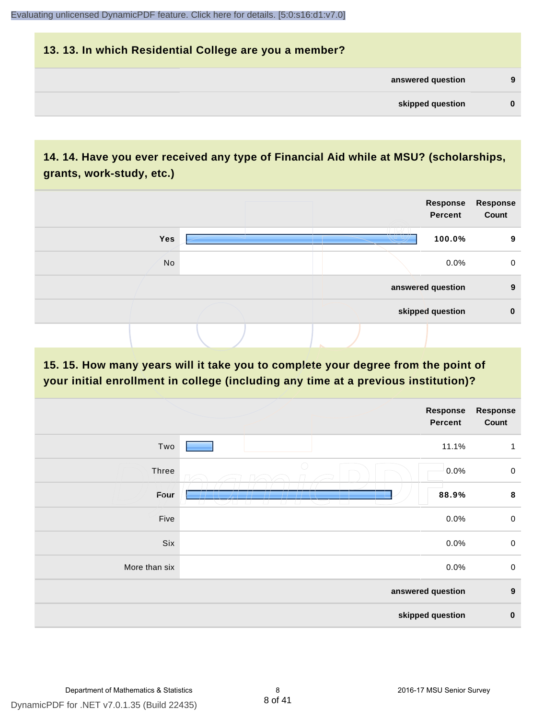## **13. 13. In which Residential College are you a member? answered question 9 skipped question 0**

## **14. 14. Have you ever received any type of Financial Aid while at MSU? (scholarships, grants, work-study, etc.)**



**15. 15. How many years will it take you to complete your degree from the point of your initial enrollment in college (including any time at a previous institution)?**

|               | Response<br><b>Percent</b> | <b>Response</b><br>Count |
|---------------|----------------------------|--------------------------|
| Two           | 11.1%                      | $\mathbf{1}$             |
| Three         | 0.0%                       | $\mathsf 0$              |
| Four          | 88.9%                      | 8                        |
| Five          | 0.0%                       | $\mathsf 0$              |
| Six           | 0.0%                       | $\mathsf 0$              |
| More than six | 0.0%                       | $\mathsf 0$              |
|               | answered question          | $\boldsymbol{9}$         |
|               | skipped question           | $\pmb{0}$                |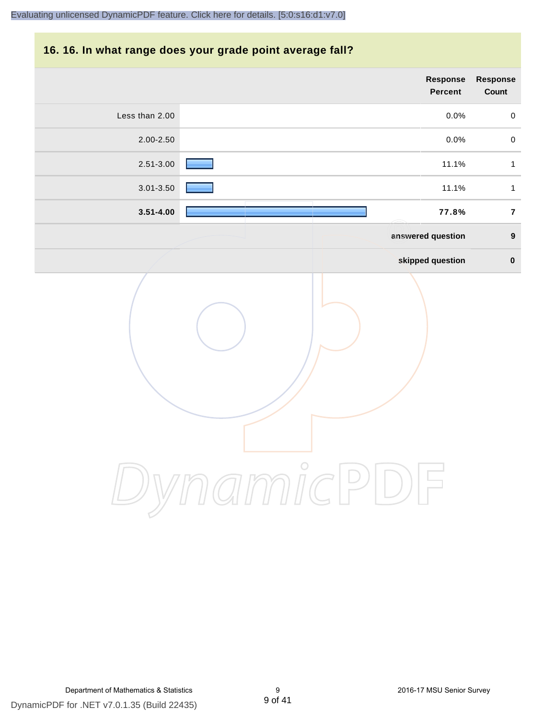### **16. 16. In what range does your grade point average fall?**

|                | Response<br><b>Percent</b> | Response<br>Count |
|----------------|----------------------------|-------------------|
| Less than 2.00 | 0.0%                       | $\,0\,$           |
| 2.00-2.50      | 0.0%                       | $\pmb{0}$         |
| 2.51-3.00      | 11.1%                      | $\mathbf{1}$      |
| $3.01 - 3.50$  | 11.1%                      | $\mathbf{1}$      |
| $3.51 - 4.00$  | 77.8%                      | $\overline{7}$    |
|                | answered question          | $\boldsymbol{9}$  |
|                | skipped question           | $\pmb{0}$         |
|                | amicP<br>$\bigcup$         |                   |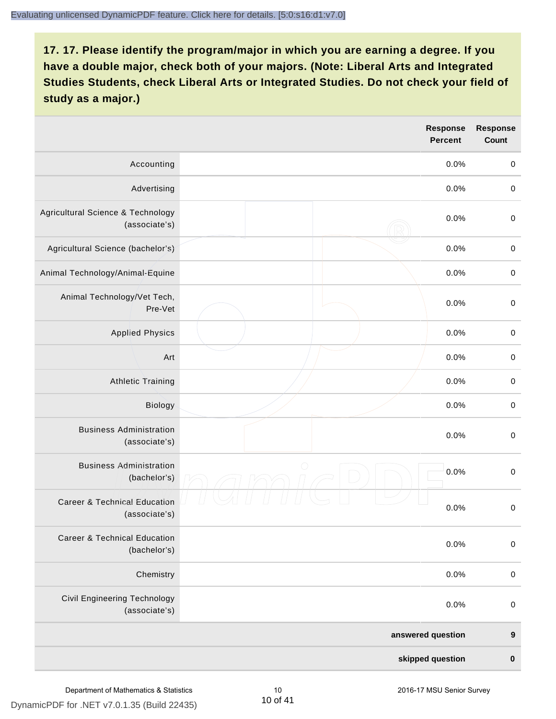|                                                          | <b>Response</b><br><b>Percent</b> | <b>Response</b><br><b>Count</b> |
|----------------------------------------------------------|-----------------------------------|---------------------------------|
| Accounting                                               | 0.0%                              | $\pmb{0}$                       |
| Advertising                                              | 0.0%                              | $\boldsymbol{0}$                |
| Agricultural Science & Technology<br>(associate's)       | 0.0%                              | $\boldsymbol{0}$                |
| Agricultural Science (bachelor's)                        | 0.0%                              | $\boldsymbol{0}$                |
| Animal Technology/Animal-Equine                          | 0.0%                              | $\mathbf 0$                     |
| Animal Technology/Vet Tech,<br>Pre-Vet                   | 0.0%                              | $\mathbf 0$                     |
| <b>Applied Physics</b>                                   | 0.0%                              | $\pmb{0}$                       |
| Art                                                      | 0.0%                              | $\pmb{0}$                       |
| <b>Athletic Training</b>                                 | 0.0%                              | $\pmb{0}$                       |
| Biology                                                  | 0.0%                              | $\pmb{0}$                       |
| <b>Business Administration</b><br>(associate's)          | 0.0%                              | $\boldsymbol{0}$                |
| <b>Business Administration</b><br>(bachelor's)           | $\bigcirc$<br>0.0%                | $\boldsymbol{0}$                |
| <b>Career &amp; Technical Education</b><br>(associate's) | 0.0%                              | $\pmb{0}$                       |
| <b>Career &amp; Technical Education</b><br>(bachelor's)  | 0.0%                              | $\mathbf 0$                     |
| Chemistry                                                | 0.0%                              | $\pmb{0}$                       |
| Civil Engineering Technology<br>(associate's)            | 0.0%                              | $\pmb{0}$                       |
|                                                          | answered question                 | $\boldsymbol{9}$                |
|                                                          | skipped question                  | $\pmb{0}$                       |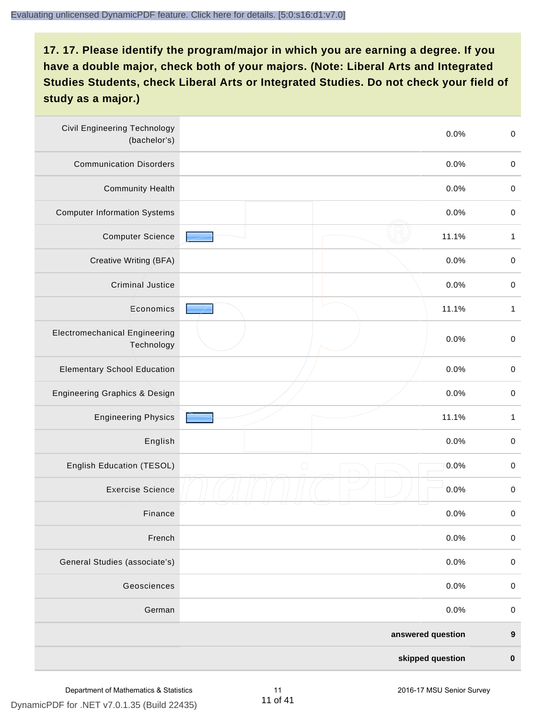| <b>Civil Engineering Technology</b><br>(bachelor's) | 0.0%               | $\boldsymbol{0}$ |
|-----------------------------------------------------|--------------------|------------------|
| <b>Communication Disorders</b>                      | 0.0%               | $\pmb{0}$        |
| <b>Community Health</b>                             | 0.0%               | $\boldsymbol{0}$ |
| <b>Computer Information Systems</b>                 | 0.0%               | $\boldsymbol{0}$ |
| <b>Computer Science</b>                             | 11.1%              | $\mathbf{1}$     |
| Creative Writing (BFA)                              | 0.0%               | $\pmb{0}$        |
| <b>Criminal Justice</b>                             | 0.0%               | $\boldsymbol{0}$ |
| Economics                                           | 11.1%              | $\mathbf{1}$     |
| <b>Electromechanical Engineering</b><br>Technology  | 0.0%               | $\mathbf 0$      |
| <b>Elementary School Education</b>                  | 0.0%               | $\boldsymbol{0}$ |
| Engineering Graphics & Design                       | 0.0%               | $\mathbf 0$      |
| <b>Engineering Physics</b>                          | 11.1%              | $\mathbf{1}$     |
| English                                             | 0.0%               | $\pmb{0}$        |
| English Education (TESOL)                           | 0.0%<br>$\bigcirc$ | $\boldsymbol{0}$ |
| <b>Exercise Science</b>                             | 0.0%               | $\pmb{0}$        |
| Finance                                             | 0.0%               | $\pmb{0}$        |
| French                                              | 0.0%               | $\pmb{0}$        |
| General Studies (associate's)                       | 0.0%               | $\pmb{0}$        |
| Geosciences                                         | 0.0%               | $\pmb{0}$        |
| German                                              | 0.0%               | $\,0\,$          |
|                                                     | answered question  | $\boldsymbol{9}$ |
|                                                     | skipped question   | $\pmb{0}$        |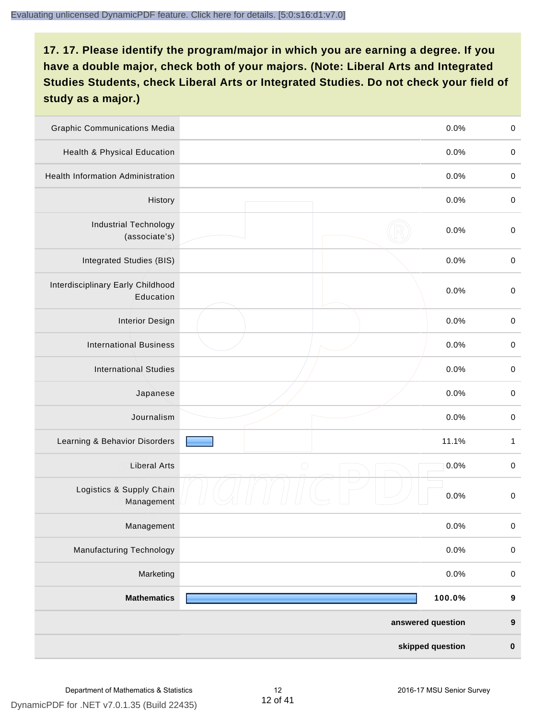| <b>Graphic Communications Media</b>            | 0.0%               | $\pmb{0}$        |
|------------------------------------------------|--------------------|------------------|
| Health & Physical Education                    | 0.0%               | $\boldsymbol{0}$ |
| <b>Health Information Administration</b>       | 0.0%               | $\pmb{0}$        |
| History                                        | 0.0%               | $\boldsymbol{0}$ |
| <b>Industrial Technology</b><br>(associate's)  | 0.0%               | $\boldsymbol{0}$ |
| Integrated Studies (BIS)                       | 0.0%               | $\pmb{0}$        |
| Interdisciplinary Early Childhood<br>Education | 0.0%               | $\boldsymbol{0}$ |
| <b>Interior Design</b>                         | 0.0%               | $\boldsymbol{0}$ |
| <b>International Business</b>                  | 0.0%               | $\pmb{0}$        |
| <b>International Studies</b>                   | 0.0%               | $\boldsymbol{0}$ |
| Japanese                                       | 0.0%               | $\boldsymbol{0}$ |
| Journalism                                     | 0.0%               | $\pmb{0}$        |
| Learning & Behavior Disorders                  | 11.1%              | 1                |
| <b>Liberal Arts</b>                            | $\bigcirc$<br>0.0% | $\boldsymbol{0}$ |
| Logistics & Supply Chain<br>Management         | 0.0%               | $\boldsymbol{0}$ |
| Management                                     | 0.0%               | $\pmb{0}$        |
| <b>Manufacturing Technology</b>                | 0.0%               | $\mathbf 0$      |
| Marketing                                      | 0.0%               | $\pmb{0}$        |
| <b>Mathematics</b>                             | 100.0%             | 9                |
|                                                | answered question  | $\boldsymbol{9}$ |
|                                                | skipped question   | $\pmb{0}$        |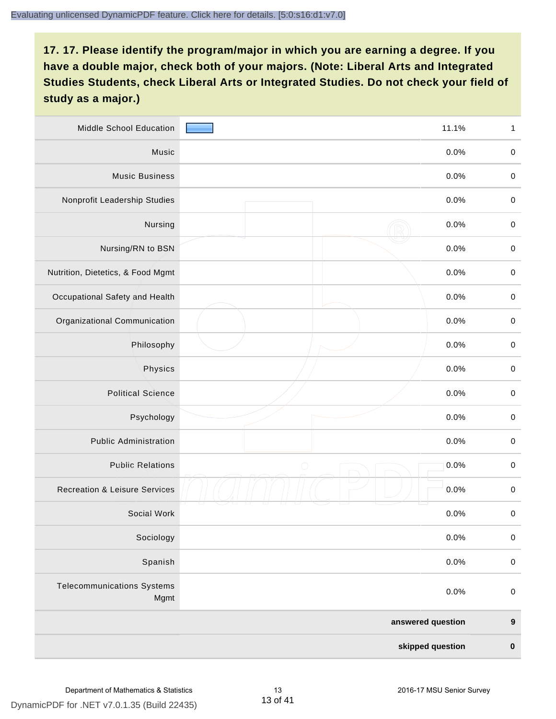| Middle School Education                   | 11.1%              | $\mathbf{1}$     |
|-------------------------------------------|--------------------|------------------|
| Music                                     | 0.0%               | $\pmb{0}$        |
| <b>Music Business</b>                     | 0.0%               | $\pmb{0}$        |
| Nonprofit Leadership Studies              | 0.0%               | $\pmb{0}$        |
| Nursing                                   | 0.0%               | $\boldsymbol{0}$ |
| Nursing/RN to BSN                         | 0.0%               | $\boldsymbol{0}$ |
| Nutrition, Dietetics, & Food Mgmt         | 0.0%               | $\boldsymbol{0}$ |
| Occupational Safety and Health            | 0.0%               | $\boldsymbol{0}$ |
| Organizational Communication              | 0.0%               | $\pmb{0}$        |
| Philosophy                                | 0.0%               | $\pmb{0}$        |
| Physics                                   | 0.0%               | $\boldsymbol{0}$ |
| <b>Political Science</b>                  | 0.0%               | $\boldsymbol{0}$ |
| Psychology                                | 0.0%               | $\boldsymbol{0}$ |
| <b>Public Administration</b>              | 0.0%               | $\pmb{0}$        |
| <b>Public Relations</b>                   | $\bigcirc$<br>0.0% | $\boldsymbol{0}$ |
| <b>Recreation &amp; Leisure Services</b>  | 0.0%               | $\pmb{0}$        |
| Social Work                               | 0.0%               | $\boldsymbol{0}$ |
| Sociology                                 | 0.0%               | $\pmb{0}$        |
| Spanish                                   | 0.0%               | $\mathbf 0$      |
| <b>Telecommunications Systems</b><br>Mgmt | 0.0%               | $\pmb{0}$        |
|                                           | answered question  | $\boldsymbol{9}$ |
|                                           | skipped question   | $\pmb{0}$        |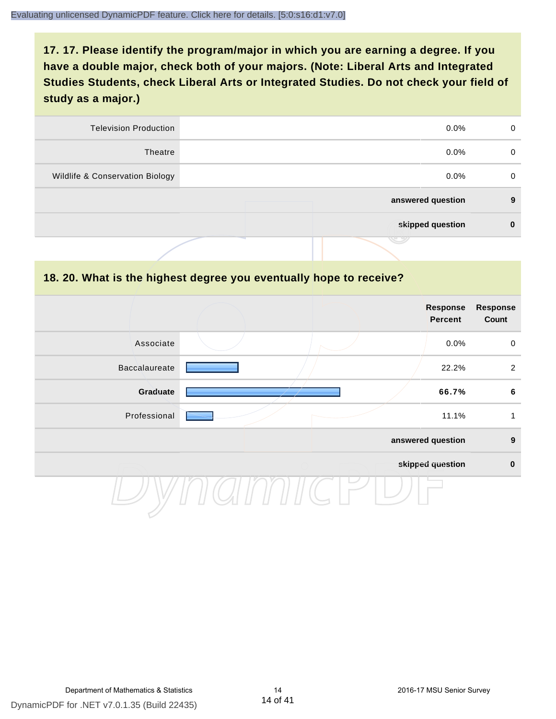| <b>Television Production</b>    | $0.0\%$           | 0        |
|---------------------------------|-------------------|----------|
| Theatre                         | $0.0\%$           | $\Omega$ |
| Wildlife & Conservation Biology | $0.0\%$           | 0        |
|                                 | answered question | 9        |
|                                 | skipped question  | 0        |
|                                 | w                 |          |

#### **18. 20. What is the highest degree you eventually hope to receive?**

|                      |  | Response<br><b>Percent</b> | <b>Response</b><br>Count |
|----------------------|--|----------------------------|--------------------------|
| Associate            |  | 0.0%                       | $\mathbf 0$              |
| <b>Baccalaureate</b> |  | 22.2%                      | 2                        |
| Graduate             |  | 66.7%                      | $6\phantom{1}6$          |
| Professional         |  | 11.1%                      | 1                        |
|                      |  | answered question          | $\boldsymbol{9}$         |
|                      |  | skipped question           | $\pmb{0}$                |
|                      |  |                            |                          |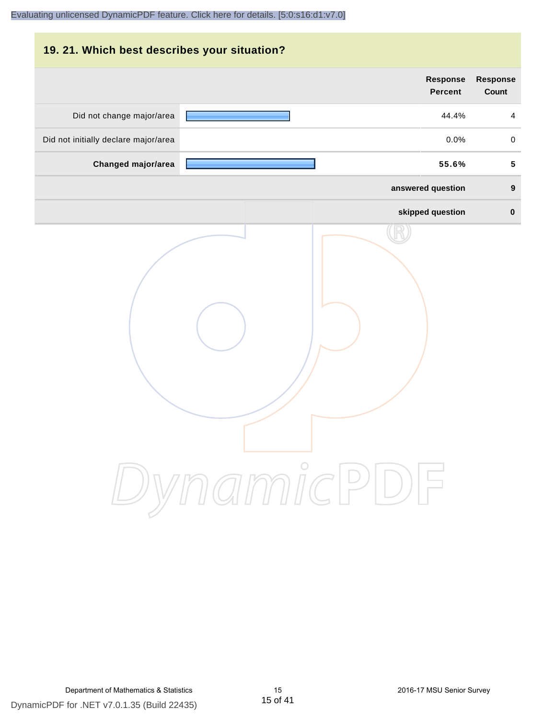#### **19. 21. Which best describes your situation?**

|                                      | Response<br><b>Percent</b> | <b>Response</b><br>Count |
|--------------------------------------|----------------------------|--------------------------|
| Did not change major/area            | 44.4%                      | $\overline{4}$           |
| Did not initially declare major/area | 0.0%                       | $\mathbf 0$              |
| Changed major/area                   | 55.6%                      | $\overline{\mathbf{5}}$  |
|                                      | answered question          | $\boldsymbol{9}$         |
|                                      | skipped question           | $\pmb{0}$                |
|                                      | ynamicPl<br>$\bigcup$      |                          |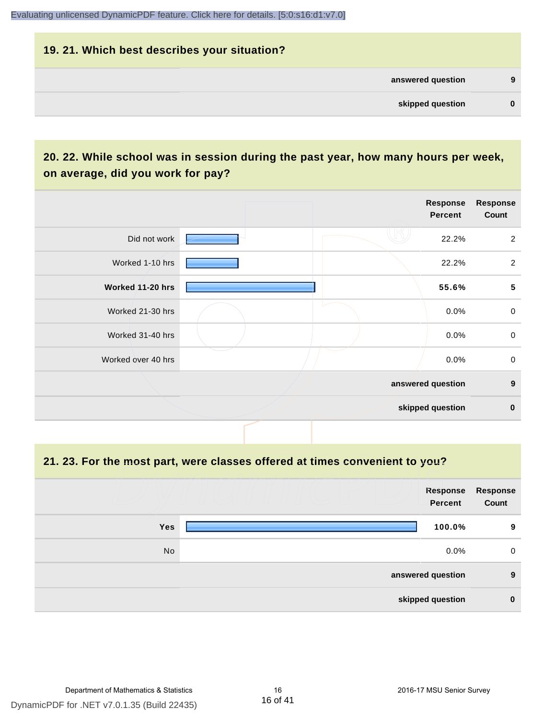#### **19. 21. Which best describes your situation?**

| 9 | answered question |  |
|---|-------------------|--|
|   | skipped question  |  |
|   |                   |  |

## **20. 22. While school was in session during the past year, how many hours per week, on average, did you work for pay?**

|                    |  | Response<br>Percent | <b>Response</b><br>Count |
|--------------------|--|---------------------|--------------------------|
| Did not work       |  | 22.2%               | $\overline{2}$           |
| Worked 1-10 hrs    |  | 22.2%               | $\overline{2}$           |
| Worked 11-20 hrs   |  | 55.6%               | $\overline{\mathbf{5}}$  |
| Worked 21-30 hrs   |  | 0.0%                | $\mathbf 0$              |
| Worked 31-40 hrs   |  | 0.0%                | $\mathbf 0$              |
| Worked over 40 hrs |  | 0.0%                | $\mathbf 0$              |
|                    |  | answered question   | $\boldsymbol{9}$         |
|                    |  | skipped question    | $\mathbf 0$              |

**21. 23. For the most part, were classes offered at times convenient to you?**

| Response<br>Count | Response<br><b>Percent</b> |     |
|-------------------|----------------------------|-----|
| 9                 | 100.0%                     | Yes |
| $\mathbf 0$       | $0.0\%$                    | No  |
| 9                 | answered question          |     |
| $\bf{0}$          | skipped question           |     |
|                   |                            |     |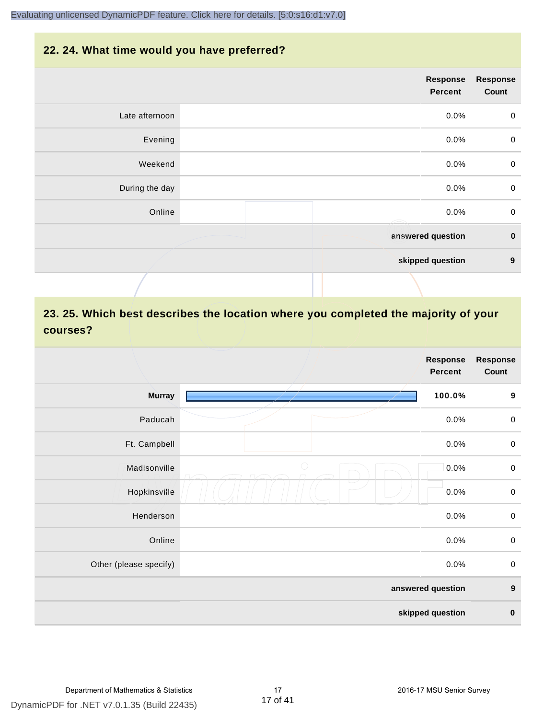#### **22. 24. What time would you have preferred?**

|                | <b>Response</b><br>Percent | <b>Response</b><br>Count |
|----------------|----------------------------|--------------------------|
| Late afternoon | 0.0%                       | $\mathbf 0$              |
| Evening        | 0.0%                       | $\pmb{0}$                |
| Weekend        | 0.0%                       | $\boldsymbol{0}$         |
| During the day | 0.0%                       | $\mathbf 0$              |
| Online         | 0.0%<br>$\iff$             | $\pmb{0}$                |
|                | answered question          | $\pmb{0}$                |
|                | skipped question           | $\boldsymbol{9}$         |
|                |                            |                          |

## **23. 25. Which best describes the location where you completed the majority of your courses?**

|                        |            | <b>Response</b><br><b>Percent</b> | <b>Response</b><br>Count |
|------------------------|------------|-----------------------------------|--------------------------|
| <b>Murray</b>          |            | 100.0%                            | $\boldsymbol{9}$         |
| Paducah                |            | 0.0%                              | $\boldsymbol{0}$         |
| Ft. Campbell           |            | 0.0%                              | $\boldsymbol{0}$         |
| Madisonville           | $\bigcirc$ | 0.0%                              | $\boldsymbol{0}$         |
| Hopkinsville           |            | 0.0%                              | $\boldsymbol{0}$         |
| Henderson              |            | 0.0%                              | $\mathbf 0$              |
| Online                 |            | 0.0%                              | $\boldsymbol{0}$         |
| Other (please specify) |            | 0.0%                              | $\boldsymbol{0}$         |
|                        |            | answered question                 | $\boldsymbol{9}$         |
|                        |            | skipped question                  | $\pmb{0}$                |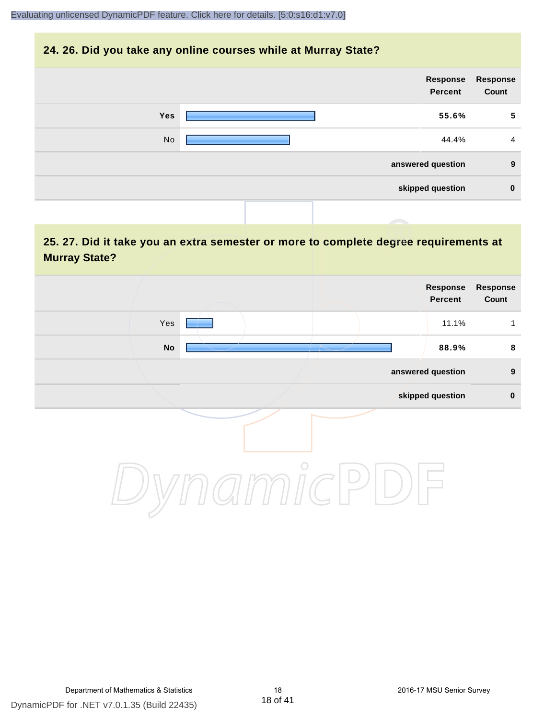#### **24. 26. Did you take any online courses while at Murray State?**

|            | Response<br><b>Percent</b> | Response<br>Count |
|------------|----------------------------|-------------------|
| <b>Yes</b> | 55.6%                      | 5                 |
| No         | 44.4%                      | $\overline{4}$    |
|            | answered question          | 9                 |
|            | skipped question           | $\bf{0}$          |
|            |                            |                   |

## **25. 27. Did it take you an extra semester or more to complete degree requirements at Murray State?**

|               |         |  | Response<br>Percent | Response<br>Count |
|---------------|---------|--|---------------------|-------------------|
| Yes           |         |  | 11.1%               | $\mathbf{1}$      |
| $\mathsf{No}$ |         |  | 88.9%               | 8                 |
|               |         |  | answered question   | 9                 |
|               |         |  | skipped question    | $\pmb{0}$         |
|               | $\circ$ |  |                     |                   |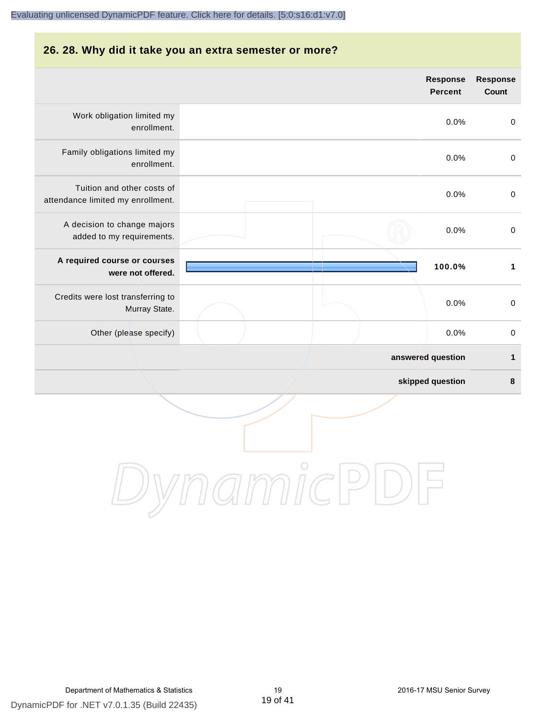#### **26. 28. Why did it take you an extra semester or more?**

|                                                                 | <b>Response</b><br><b>Percent</b> | <b>Response</b><br>Count |
|-----------------------------------------------------------------|-----------------------------------|--------------------------|
| Work obligation limited my<br>enrollment.                       | 0.0%                              | $\pmb{0}$                |
| Family obligations limited my<br>enrollment.                    | 0.0%                              | $\mathbf 0$              |
| Tuition and other costs of<br>attendance limited my enrollment. | 0.0%                              | $\mathbf 0$              |
| A decision to change majors<br>added to my requirements.        | 0.0%                              | $\pmb{0}$                |
| A required course or courses<br>were not offered.               | 100.0%                            | $\mathbf{1}$             |
| Credits were lost transferring to<br>Murray State.              | 0.0%                              | $\pmb{0}$                |
| Other (please specify)                                          | 0.0%                              | $\mathbf 0$              |
|                                                                 | answered question                 | 1                        |
|                                                                 | skipped question                  | $\bf8$                   |
|                                                                 |                                   |                          |

DynamicPDF for .NET v7.0.1.35 (Build 22435) Department of Mathematics & Statistics 19 2016-17 MSU Senior Survey

DynamicPDF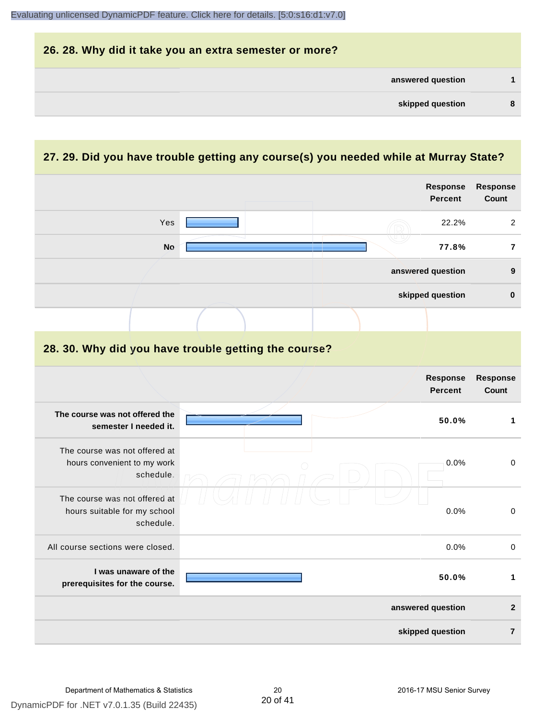| 26. 28. Why did it take you an extra semester or more? |   |
|--------------------------------------------------------|---|
| answered question                                      |   |
| skipped question                                       | 8 |

## **27. 29. Did you have trouble getting any course(s) you needed while at Murray State?**

|                                                                            | <b>Response</b><br><b>Percent</b>                    | <b>Response</b><br>Count |
|----------------------------------------------------------------------------|------------------------------------------------------|--------------------------|
| Yes                                                                        | 22.2%                                                | $\overline{2}$           |
| <b>No</b>                                                                  | 77.8%                                                | $\overline{7}$           |
|                                                                            | answered question                                    | $\boldsymbol{9}$         |
|                                                                            | skipped question                                     | $\pmb{0}$                |
|                                                                            |                                                      |                          |
|                                                                            | 28. 30. Why did you have trouble getting the course? |                          |
|                                                                            | <b>Response</b><br><b>Percent</b>                    | Response<br><b>Count</b> |
| The course was not offered the<br>semester I needed it.                    | 50.0%                                                | 1                        |
| The course was not offered at<br>hours convenient to my work<br>schedule.  | 0.0%                                                 | $\pmb{0}$                |
| The course was not offered at<br>hours suitable for my school<br>schedule. | 0.0%                                                 | $\mathbf 0$              |
| All course sections were closed.                                           | 0.0%                                                 | $\mathbf 0$              |
| I was unaware of the<br>prerequisites for the course.                      | 50.0%                                                | $\mathbf{1}$             |
|                                                                            | answered question                                    | $\mathbf{2}$             |
|                                                                            | skipped question                                     | $\overline{7}$           |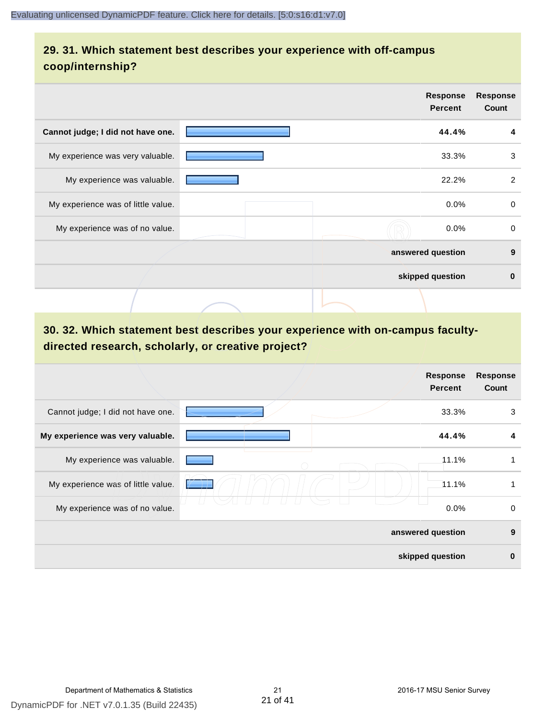## **29. 31. Which statement best describes your experience with off-campus coop/internship?**

|                                    | <b>Response</b><br><b>Percent</b> | <b>Response</b><br>Count |
|------------------------------------|-----------------------------------|--------------------------|
| Cannot judge; I did not have one.  | 44.4%                             | 4                        |
| My experience was very valuable.   | 33.3%                             | 3                        |
| My experience was valuable.        | 22.2%                             | 2                        |
| My experience was of little value. | $0.0\%$                           | 0                        |
| My experience was of no value.     | 0.0%                              | $\mathbf 0$              |
|                                    | answered question                 | 9                        |
|                                    | skipped question                  | $\bf{0}$                 |
|                                    |                                   |                          |

## **30. 32. Which statement best describes your experience with on-campus facultydirected research, scholarly, or creative project?**

|                                    | <b>Response</b><br><b>Percent</b> | <b>Response</b><br>Count |
|------------------------------------|-----------------------------------|--------------------------|
| Cannot judge; I did not have one.  | 33.3%                             | 3                        |
| My experience was very valuable.   | 44.4%                             | 4                        |
| My experience was valuable.        | 11.1%                             | 1                        |
| My experience was of little value. | 11.1%                             | 1                        |
| My experience was of no value.     | 0.0%                              | 0                        |
|                                    | answered question                 | 9                        |
|                                    | skipped question                  | $\bf{0}$                 |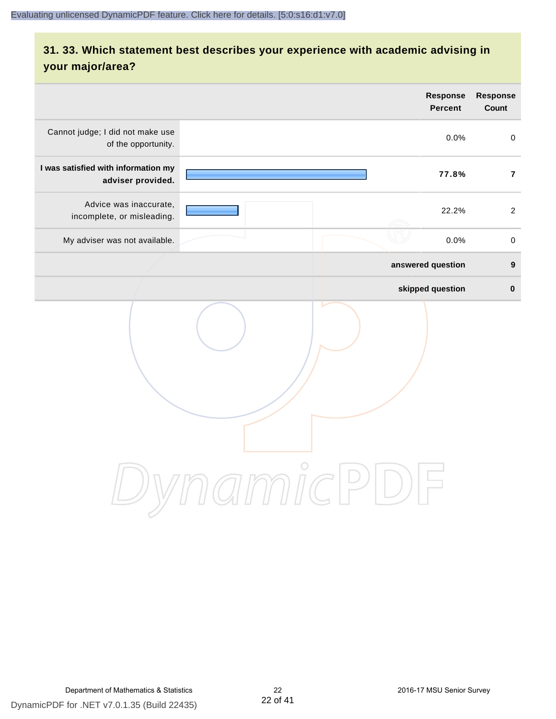## **31. 33. Which statement best describes your experience with academic advising in your major/area?**

| <b>Percent</b>                                                                                     | <b>Response</b><br>Count                                                            |
|----------------------------------------------------------------------------------------------------|-------------------------------------------------------------------------------------|
|                                                                                                    | $\mathbf 0$                                                                         |
|                                                                                                    | $\overline{7}$                                                                      |
|                                                                                                    | 2                                                                                   |
|                                                                                                    | $\pmb{0}$                                                                           |
|                                                                                                    | $\boldsymbol{9}$                                                                    |
|                                                                                                    | $\pmb{0}$                                                                           |
| $\bigcirc$<br>$\mathcal{I}\text{mmIC}$<br>$\begin{pmatrix} 1 \\ -1 \end{pmatrix}$<br>$\frac{1}{2}$ |                                                                                     |
|                                                                                                    | Response<br>0.0%<br>77.8%<br>22.2%<br>0.0%<br>answered question<br>skipped question |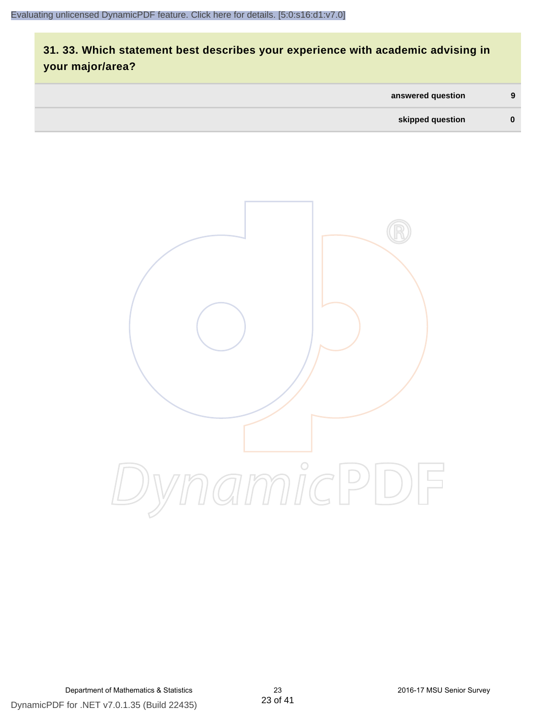## **31. 33. Which statement best describes your experience with academic advising in your major/area?**

| answered question | 9 |
|-------------------|---|
| skipped question  |   |

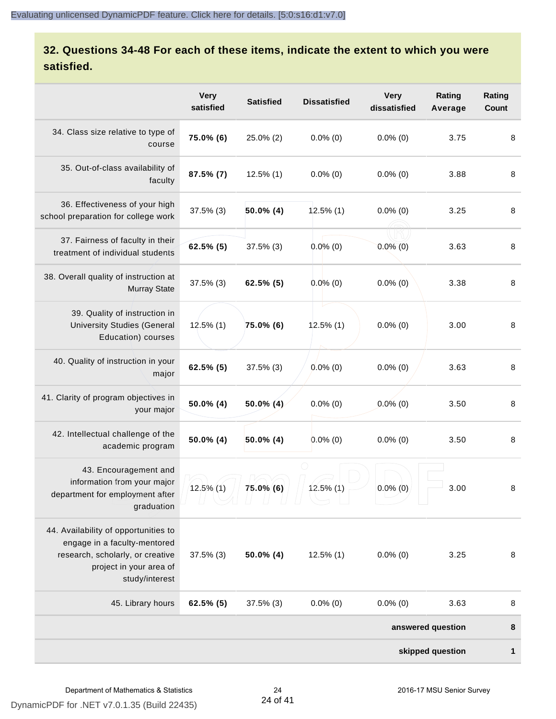## **32. Questions 34-48 For each of these items, indicate the extent to which you were satisfied.**

|                                                                                                                                                       | <b>Very</b><br>satisfied | <b>Satisfied</b> | <b>Dissatisfied</b> | <b>Very</b><br>dissatisfied | Rating<br>Average | Rating<br><b>Count</b> |
|-------------------------------------------------------------------------------------------------------------------------------------------------------|--------------------------|------------------|---------------------|-----------------------------|-------------------|------------------------|
| 34. Class size relative to type of<br>course                                                                                                          | 75.0% (6)                | 25.0% (2)        | $0.0\%$ (0)         | $0.0\%$ (0)                 | 3.75              | 8                      |
| 35. Out-of-class availability of<br>faculty                                                                                                           | 87.5% (7)                | $12.5\%$ (1)     | $0.0\%$ (0)         | $0.0\%$ (0)                 | 3.88              | 8                      |
| 36. Effectiveness of your high<br>school preparation for college work                                                                                 | $37.5\%$ (3)             | $50.0\%$ (4)     | $12.5\%$ (1)        | $0.0\%$ (0)                 | 3.25              | 8                      |
| 37. Fairness of faculty in their<br>treatment of individual students                                                                                  | 62.5% (5)                | $37.5\%$ (3)     | $0.0\%$ (0)         | $0.0\%$ (0)                 | 3.63              | 8                      |
| 38. Overall quality of instruction at<br><b>Murray State</b>                                                                                          | $37.5\%$ (3)             | $62.5\%$ (5)     | $0.0\%$ (0)         | $0.0\%$ (0)                 | 3.38              | 8                      |
| 39. Quality of instruction in<br><b>University Studies (General</b><br>Education) courses                                                             | $12.5\%$ (1)             | 75.0% (6)        | $12.5\%$ (1)        | $0.0\%$ (0)                 | 3.00              | 8                      |
| 40. Quality of instruction in your<br>major                                                                                                           | 62.5% (5)                | $37.5\%$ (3)     | $0.0\%$ (0)         | $0.0\%$ (0)                 | 3.63              | 8                      |
| 41. Clarity of program objectives in<br>your major                                                                                                    | 50.0% (4)                | $50.0\%$ (4)     | $0.0\%$ (0)         | $0.0\%$ (0)                 | 3.50              | 8                      |
| 42. Intellectual challenge of the<br>academic program                                                                                                 | 50.0% (4)                | $50.0\%$ (4)     | $0.0\%$ (0)         | $0.0\%$ (0)                 | 3.50              | 8                      |
| 43. Encouragement and<br>information from your major<br>department for employment after<br>graduation                                                 | $12.5\%$ (1)             | $75.0\%$ (6)     | $12.5\%$ (1)        | $0.0\%$ (0)                 | 3.00              | 8                      |
| 44. Availability of opportunities to<br>engage in a faculty-mentored<br>research, scholarly, or creative<br>project in your area of<br>study/interest | $37.5\%$ (3)             | $50.0\%$ (4)     | $12.5\%$ (1)        | $0.0\%$ (0)                 | 3.25              | 8                      |
| 45. Library hours                                                                                                                                     | 62.5% (5)                | $37.5\%$ (3)     | $0.0\%$ (0)         | $0.0\%$ (0)                 | 3.63              | 8                      |
|                                                                                                                                                       |                          |                  |                     |                             | answered question | 8                      |
|                                                                                                                                                       |                          |                  |                     |                             | skipped question  | 1                      |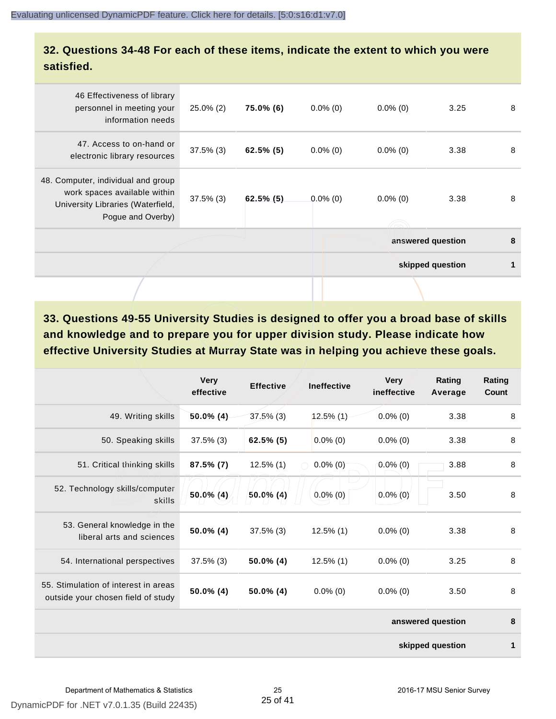### **32. Questions 34-48 For each of these items, indicate the extent to which you were satisfied.**

| 46 Effectiveness of library<br>personnel in meeting your<br>information needs                                                | $25.0\%$ (2) | 75.0% (6)    | $0.0\%$ (0) | $0.0\%$ (0)       | 3.25             | 8 |
|------------------------------------------------------------------------------------------------------------------------------|--------------|--------------|-------------|-------------------|------------------|---|
| 47. Access to on-hand or<br>electronic library resources                                                                     | $37.5\%$ (3) | $62.5\%$ (5) | $0.0\%$ (0) | $0.0\%$ (0)       | 3.38             | 8 |
| 48. Computer, individual and group<br>work spaces available within<br>University Libraries (Waterfield,<br>Pogue and Overby) | $37.5\%$ (3) | $62.5\%$ (5) | $0.0\%$ (0) | $0.0\%$ (0)       | 3.38             | 8 |
|                                                                                                                              |              |              |             | answered question |                  | 8 |
|                                                                                                                              |              |              |             |                   | skipped question | 1 |
|                                                                                                                              |              |              |             |                   |                  |   |

**33. Questions 49-55 University Studies is designed to offer you a broad base of skills and knowledge and to prepare you for upper division study. Please indicate how effective University Studies at Murray State was in helping you achieve these goals.**

|                                                                            | <b>Very</b><br>effective | <b>Effective</b> | <b>Ineffective</b> | <b>Very</b><br>ineffective | <b>Rating</b><br>Average | Rating<br>Count |
|----------------------------------------------------------------------------|--------------------------|------------------|--------------------|----------------------------|--------------------------|-----------------|
| 49. Writing skills                                                         | $50.0\%$ (4)             | $37.5\%$ (3)     | $12.5\%$ (1)       | $0.0\%$ (0)                | 3.38                     | 8               |
| 50. Speaking skills                                                        | $37.5\%$ (3)             | $62.5\%$ (5)     | $0.0\%$ (0)        | $0.0\%$ (0)                | 3.38                     | 8               |
| 51. Critical thinking skills                                               | $87.5\%$ (7)             | $12.5\%$ (1)     | $0.0\%$ (0)        | $0.0\%(0)$                 | 3.88                     | 8               |
| 52. Technology skills/computer<br>skills                                   | 50.0% (4)                | $50.0\%$ (4)     | $0.0\%$ (0)        | $0.0\%$ (0)                | 3.50                     | 8               |
| 53. General knowledge in the<br>liberal arts and sciences                  | 50.0% (4)                | $37.5\%$ (3)     | $12.5\%$ (1)       | $0.0\%$ (0)                | 3.38                     | 8               |
| 54. International perspectives                                             | $37.5\%$ (3)             | 50.0% (4)        | $12.5\%$ (1)       | $0.0\%$ (0)                | 3.25                     | 8               |
| 55. Stimulation of interest in areas<br>outside your chosen field of study | $50.0\%$ (4)             | $50.0\%$ (4)     | $0.0\%$ (0)        | $0.0\%$ (0)                | 3.50                     | 8               |
|                                                                            |                          |                  |                    |                            | answered question        | 8               |
|                                                                            |                          |                  |                    |                            | skipped question         | 1               |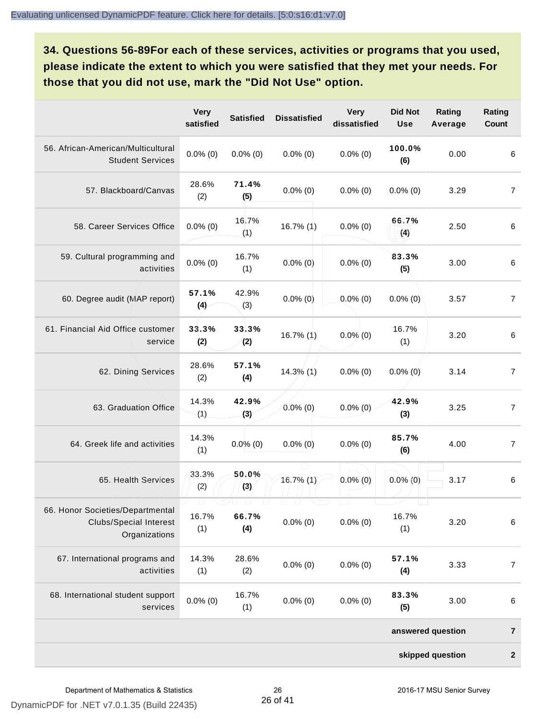**34. Questions 56-89For each of these services, activities or programs that you used, please indicate the extent to which you were satisfied that they met your needs. For those that you did not use, mark the "Did Not Use" option.**

|                                                                                    | <b>Very</b><br>satisfied | <b>Satisfied</b>                   | <b>Dissatisfied</b>         | <b>Very</b><br>dissatisfied | <b>Did Not</b><br><b>Use</b> | Rating<br>Average | Rating<br>Count  |
|------------------------------------------------------------------------------------|--------------------------|------------------------------------|-----------------------------|-----------------------------|------------------------------|-------------------|------------------|
| 56. African-American/Multicultural<br><b>Student Services</b>                      | $0.0\%$ (0)              | $0.0\%$ (0)                        | $0.0\%$ (0)                 | $0.0\%$ (0)                 | 100.0%<br>(6)                | 0.00              | 6                |
| 57. Blackboard/Canvas                                                              | 28.6%<br>(2)             | 71.4%<br>(5)                       | $0.0\%$ (0)                 | $0.0\%$ (0)                 | $0.0\%$ (0)                  | 3.29              | $\overline{7}$   |
| 58. Career Services Office                                                         | $0.0\%$ (0)              | 16.7%<br>(1)                       | 16.7% (1)                   | $0.0\%$ (0)                 | 66.7%<br>(4)                 | 2.50              | 6                |
| 59. Cultural programming and<br>activities                                         | $0.0\%$ (0)              | 16.7%<br>(1)                       | $0.0\%$ (0)                 | $0.0\%$ (0)                 | 83.3%<br>(5)                 | 3.00              | 6                |
| 60. Degree audit (MAP report)                                                      | 57.1%<br>(4)             | 42.9%<br>(3)                       | $0.0\%$ (0)                 | $0.0\%$ (0)                 | $0.0\%$ (0)                  | 3.57              | $\overline{7}$   |
| 61. Financial Aid Office customer<br>service                                       | 33.3%<br>(2)             | 33.3%<br>(2)                       | 16.7% (1)                   | $0.0\%$ (0)                 | 16.7%<br>(1)                 | 3.20              | 6                |
| 62. Dining Services                                                                | 28.6%<br>(2)             | 57.1%<br>(4)                       | $14.3\%$ (1)                | $0.0\%$ (0)                 | $0.0\%$ (0)                  | 3.14              | $\overline{7}$   |
| 63. Graduation Office                                                              | 14.3%<br>(1)             | 42.9%<br>(3)                       | $0.0\%$ (0)                 | $0.0\%$ (0)                 | 42.9%<br>(3)                 | 3.25              | $\overline{7}$   |
| 64. Greek life and activities                                                      | 14.3%<br>(1)             | $0.0\%$ (0)                        | $0.0\%$ (0)                 | $0.0\%$ (0)                 | 85.7%<br>(6)                 | 4.00              | $\overline{7}$   |
| 65. Health Services                                                                | 33.3%<br>(2)             | 50.0%<br>(3)                       | 16.7% (1)                   | $0.0\%$ (0)                 | $0.0\%$ (0)                  | 3.17              | 6                |
| 66. Honor Societies/Departmental<br><b>Clubs/Special Interest</b><br>Organizations | $\Box$<br>16.7%<br>(1)   | $\Box$<br>$\sqcup$<br>66.7%<br>(4) | U.<br>$\Box$<br>$0.0\%$ (0) | $0.0\%$ (0)                 | 16.7%<br>(1)                 | 3.20              | $\,6\,$          |
| 67. International programs and<br>activities                                       | 14.3%<br>(1)             | 28.6%<br>(2)                       | $0.0\%$ (0)                 | $0.0\%$ (0)                 | 57.1%<br>(4)                 | 3.33              | $\overline{7}$   |
| 68. International student support<br>services                                      | $0.0\%$ (0)              | 16.7%<br>(1)                       | $0.0\%$ (0)                 | $0.0\%$ (0)                 | 83.3%<br>(5)                 | 3.00              | $\,6$            |
|                                                                                    |                          |                                    |                             |                             |                              | answered question | $\overline{7}$   |
|                                                                                    |                          |                                    |                             |                             |                              | skipped question  | $\boldsymbol{2}$ |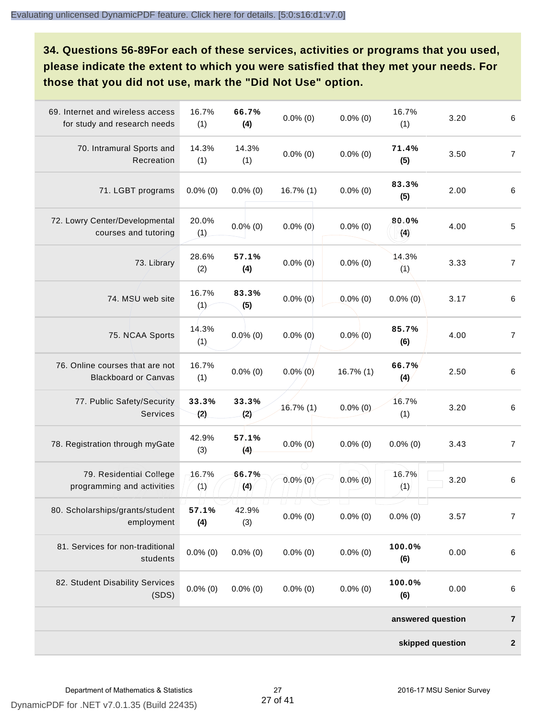**34. Questions 56-89For each of these services, activities or programs that you used, please indicate the extent to which you were satisfied that they met your needs. For those that you did not use, mark the "Did Not Use" option.**

| 69. Internet and wireless access<br>for study and research needs | 16.7%<br>(1) | 66.7%<br>(4) | $0.0\%$ (0)                 | $0.0\%$ (0)  | 16.7%<br>(1)      | 3.20             | $\,6\,$          |
|------------------------------------------------------------------|--------------|--------------|-----------------------------|--------------|-------------------|------------------|------------------|
| 70. Intramural Sports and<br>Recreation                          | 14.3%<br>(1) | 14.3%<br>(1) | $0.0\%$ (0)                 | $0.0\%$ (0)  | 71.4%<br>(5)      | 3.50             | $\overline{7}$   |
| 71. LGBT programs                                                | $0.0\%$ (0)  | $0.0\%$ (0)  | $16.7\%$ (1)                | $0.0\%$ (0)  | 83.3%<br>(5)      | 2.00             | $\,6\,$          |
| 72. Lowry Center/Developmental<br>courses and tutoring           | 20.0%<br>(1) | $0.0\%$ (0)  | $0.0\%$ (0)                 | $0.0\%$ (0)  | 80.0%<br>(4)      | 4.00             | $\sqrt{5}$       |
| 73. Library                                                      | 28.6%<br>(2) | 57.1%<br>(4) | $0.0\%$ (0)                 | $0.0\%$ (0)  | 14.3%<br>(1)      | 3.33             | $\overline{7}$   |
| 74. MSU web site                                                 | 16.7%<br>(1) | 83.3%<br>(5) | $0.0\%$ (0)                 | $0.0\%$ (0)  | $0.0\%$ (0)       | 3.17             | $\,6\,$          |
| 75. NCAA Sports                                                  | 14.3%<br>(1) | $0.0\%$ (0)  | $0.0\%$ (0)                 | $0.0\%$ (0)  | 85.7%<br>(6)      | 4.00             | $\overline{7}$   |
| 76. Online courses that are not<br><b>Blackboard or Canvas</b>   | 16.7%<br>(1) | $0.0\%$ (0)  | $0.0\%$ (0)                 | $16.7\%$ (1) | 66.7%<br>(4)      | 2.50             | 6                |
| 77. Public Safety/Security<br>Services                           | 33.3%<br>(2) | 33.3%<br>(2) | $16.7\%$ (1)                | $0.0\%$ (0)  | 16.7%<br>(1)      | 3.20             | $\,6\,$          |
| 78. Registration through myGate                                  | 42.9%<br>(3) | 57.1%<br>(4) | $0.0\%$ (0)                 | $0.0\%$ (0)  | $0.0\%$ (0)       | 3.43             | $\overline{7}$   |
| 79. Residential College<br>programming and activities            | 16.7%<br>(1) | 66.7%<br>(4) | $0.0\%$ (0)                 | $0.0\%$ (0)  | 16.7%<br>(1)      | 3.20             | $\,6\,$          |
| 80. Scholarships/grants/student<br>employment                    | 57.1%<br>(4) | 42.9%<br>(3) | U.<br>$\Box$<br>$0.0\%$ (0) | $0.0\%$ (0)  | $0.0\%$ (0)       | 3.57             | $\overline{7}$   |
| 81. Services for non-traditional<br>students                     | $0.0\%$ (0)  | $0.0\%$ (0)  | $0.0\%$ (0)                 | $0.0\%$ (0)  | 100.0%<br>(6)     | 0.00             | $\,6\,$          |
| 82. Student Disability Services<br>(SDS)                         | $0.0\%$ (0)  | $0.0\%$ (0)  | $0.0\%$ (0)                 | $0.0\%$ (0)  | 100.0%<br>(6)     | 0.00             | $\,6$            |
|                                                                  |              |              |                             |              | answered question |                  | $\overline{7}$   |
|                                                                  |              |              |                             |              |                   | skipped question | $\boldsymbol{2}$ |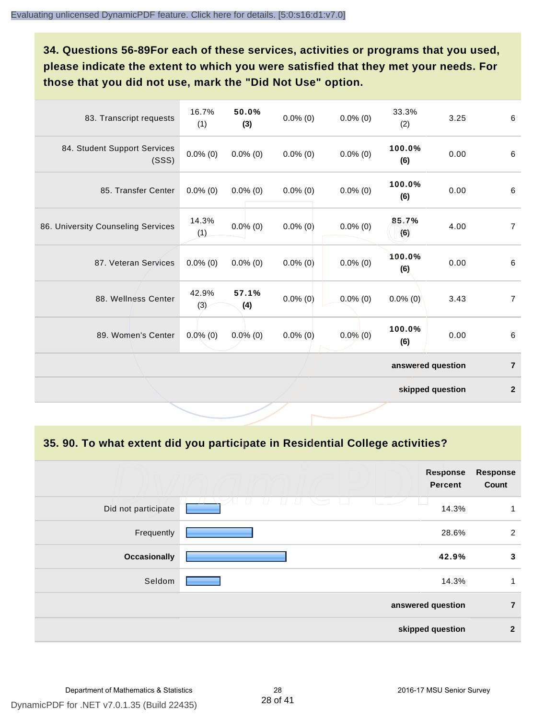**34. Questions 56-89For each of these services, activities or programs that you used, please indicate the extent to which you were satisfied that they met your needs. For those that you did not use, mark the "Did Not Use" option.**

| 83. Transcript requests               | 16.7%<br>(1) | 50.0%<br>(3) | $0.0\%$ (0) | $0.0\%$ (0) | 33.3%<br>(2)      | 3.25 | 6              |
|---------------------------------------|--------------|--------------|-------------|-------------|-------------------|------|----------------|
| 84. Student Support Services<br>(SSS) | $0.0\%$ (0)  | $0.0\%$ (0)  | $0.0\%$ (0) | $0.0\%$ (0) | 100.0%<br>(6)     | 0.00 | 6              |
| 85. Transfer Center                   | $0.0\%$ (0)  | $0.0\%$ (0)  | $0.0\%$ (0) | $0.0\%$ (0) | 100.0%<br>(6)     | 0.00 | $\,6\,$        |
| 86. University Counseling Services    | 14.3%<br>(1) | $0.0\%$ (0)  | $0.0\%$ (0) | $0.0\%$ (0) | 85.7%<br>(6)      | 4.00 | $\overline{7}$ |
| 87. Veteran Services                  | $0.0\%$ (0)  | $0.0\%$ (0)  | $0.0\%$ (0) | $0.0\%$ (0) | 100.0%<br>(6)     | 0.00 | $\,6\,$        |
| 88. Wellness Center                   | 42.9%<br>(3) | 57.1%<br>(4) | $0.0\%$ (0) | $0.0\%$ (0) | $0.0\%$ (0)       | 3.43 | $\overline{7}$ |
| 89. Women's Center                    | $0.0\%$ (0)  | $0.0\%$ (0)  | $0.0\%$ (0) | $0.0\%$ (0) | 100.0%<br>(6)     | 0.00 | $\,6\,$        |
|                                       |              |              |             |             | answered question |      | $\overline{7}$ |
|                                       |              |              |             |             | skipped question  |      | $\mathbf{2}$   |

**35. 90. To what extent did you participate in Residential College activities?**

|                     | <b>Response</b><br><b>Percent</b> | <b>Response</b><br>Count |
|---------------------|-----------------------------------|--------------------------|
| Did not participate | 14.3%                             | 1                        |
| Frequently          | 28.6%                             | 2                        |
| <b>Occasionally</b> | 42.9%                             | $\mathbf{3}$             |
| Seldom              | 14.3%                             | 1                        |
|                     | answered question                 | $\overline{7}$           |
|                     | skipped question                  | $\overline{2}$           |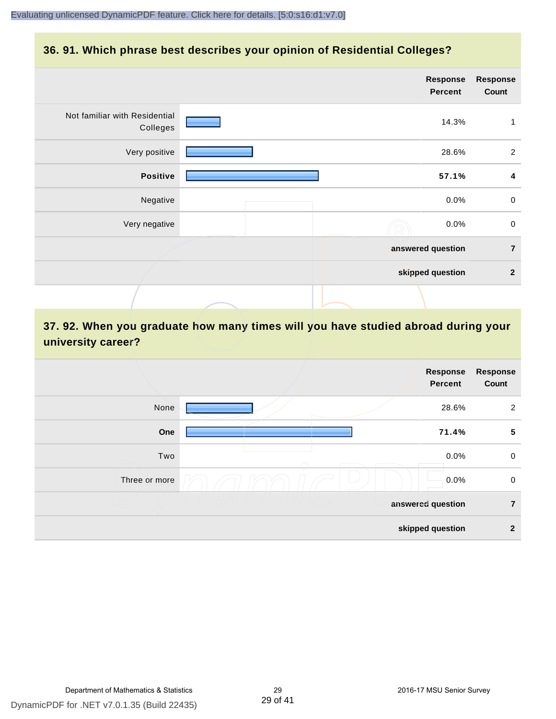### **36. 91. Which phrase best describes your opinion of Residential Colleges?**

|                                           | <b>Response</b><br>Percent | <b>Response</b><br>Count |
|-------------------------------------------|----------------------------|--------------------------|
| Not familiar with Residential<br>Colleges | 14.3%                      | 1                        |
| Very positive                             | 28.6%                      | $\overline{2}$           |
| <b>Positive</b>                           | 57.1%                      | 4                        |
| Negative                                  | 0.0%                       | $\mathbf 0$              |
| Very negative                             | 0.0%                       | $\pmb{0}$                |
|                                           | answered question          | $\overline{7}$           |
|                                           | skipped question           | $\mathbf{2}$             |
|                                           |                            |                          |

## **37. 92. When you graduate how many times will you have studied abroad during your university career?**

|               | Response<br><b>Percent</b> | <b>Response</b><br>Count |
|---------------|----------------------------|--------------------------|
| None          | 28.6%                      | $\overline{2}$           |
| One           | 71.4%                      | $5\phantom{.0}$          |
| Two           | 0.0%                       | $\mathsf 0$              |
| Three or more | 0.0%                       | $\mathsf 0$              |
|               | answered question          | $\overline{7}$           |
|               | skipped question           | $\overline{2}$           |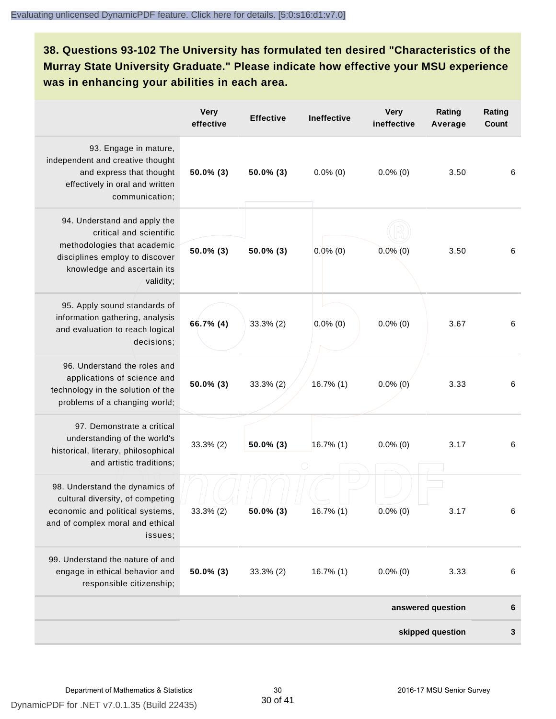**38. Questions 93-102 The University has formulated ten desired "Characteristics of the Murray State University Graduate." Please indicate how effective your MSU experience was in enhancing your abilities in each area.**

|                                                                                                                                                                      | <b>Very</b><br>effective | <b>Effective</b> | <b>Ineffective</b> | <b>Very</b><br>ineffective | Rating<br>Average | Rating<br><b>Count</b> |
|----------------------------------------------------------------------------------------------------------------------------------------------------------------------|--------------------------|------------------|--------------------|----------------------------|-------------------|------------------------|
| 93. Engage in mature,<br>independent and creative thought<br>and express that thought<br>effectively in oral and written<br>communication;                           | $50.0\%$ (3)             | $50.0\%$ (3)     | $0.0\%$ (0)        | $0.0\%$ (0)                | 3.50              | 6                      |
| 94. Understand and apply the<br>critical and scientific<br>methodologies that academic<br>disciplines employ to discover<br>knowledge and ascertain its<br>validity; | 50.0% (3)                | 50.0% (3)        | $0.0\%$ (0)        | $0.0\%$ (0)                | 3.50              | 6                      |
| 95. Apply sound standards of<br>information gathering, analysis<br>and evaluation to reach logical<br>decisions;                                                     | 66.7% (4)                | $33.3\%$ (2)     | $0.0\%$ (0)        | $0.0\%$ (0)                | 3.67              | 6                      |
| 96. Understand the roles and<br>applications of science and<br>technology in the solution of the<br>problems of a changing world;                                    | 50.0% (3)                | $33.3\%$ (2)     | 16.7% (1)          | $0.0\%$ (0)                | 3.33              | 6                      |
| 97. Demonstrate a critical<br>understanding of the world's<br>historical, literary, philosophical<br>and artistic traditions;                                        | $33.3\%$ (2)             | $50.0\%$ (3)     | $16.7\%$ (1)       | $0.0\%$ (0)                | 3.17              | 6                      |
| 98. Understand the dynamics of<br>cultural diversity, of competing<br>economic and political systems,<br>and of complex moral and ethical<br>issues;                 | 33.3% (2)                | $50.0\%$ (3)     | 16.7% (1)          | $0.0\%$ (0)                | 3.17              | 6                      |
| 99. Understand the nature of and<br>engage in ethical behavior and<br>responsible citizenship;                                                                       | 50.0% (3)                | 33.3% (2)        | $16.7\%$ (1)       | $0.0\%$ (0)                | 3.33              | 6                      |
|                                                                                                                                                                      |                          |                  |                    |                            | answered question | 6                      |
|                                                                                                                                                                      |                          |                  |                    |                            | skipped question  | 3                      |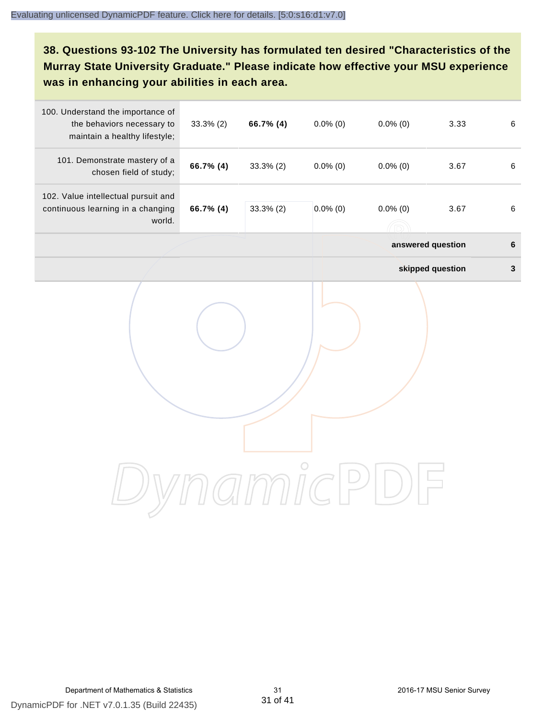**38. Questions 93-102 The University has formulated ten desired "Characteristics of the Murray State University Graduate." Please indicate how effective your MSU experience was in enhancing your abilities in each area.**

| 100. Understand the importance of<br>the behaviors necessary to<br>maintain a healthy lifestyle; | $33.3\%$ (2) | 66.7% (4)    | $0.0\%$ (0) | $0.0\%$ (0) | 3.33              | $\,6\,$      |
|--------------------------------------------------------------------------------------------------|--------------|--------------|-------------|-------------|-------------------|--------------|
| 101. Demonstrate mastery of a<br>chosen field of study;                                          | 66.7% (4)    | $33.3\%$ (2) | $0.0\%$ (0) | $0.0\%$ (0) | 3.67              | $\,6\,$      |
| 102. Value intellectual pursuit and<br>continuous learning in a changing<br>world.               | 66.7% (4)    | 33.3% (2)    | $0.0\%$ (0) | $0.0\%$ (0) | 3.67              | $\,6\,$      |
|                                                                                                  |              |              |             |             | answered question | $\bf 6$      |
|                                                                                                  |              |              |             |             | skipped question  | $\mathbf{3}$ |
|                                                                                                  |              |              |             |             |                   |              |
|                                                                                                  |              |              |             |             |                   |              |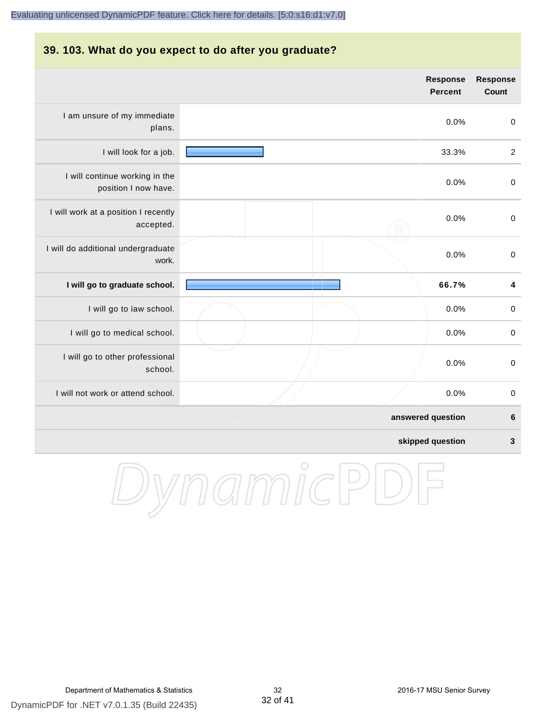#### **39. 103. What do you expect to do after you graduate?**

|                                                        | <b>Response</b><br><b>Percent</b> | <b>Response</b><br>Count |
|--------------------------------------------------------|-----------------------------------|--------------------------|
| I am unsure of my immediate<br>plans.                  | 0.0%                              | $\pmb{0}$                |
| I will look for a job.                                 | 33.3%                             | $\overline{2}$           |
| I will continue working in the<br>position I now have. | 0.0%                              | $\mathbf 0$              |
| I will work at a position I recently<br>accepted.      | 0.0%                              | $\mathbf 0$              |
| I will do additional undergraduate<br>work.            | 0.0%                              | $\mathbf 0$              |
| I will go to graduate school.                          | 66.7%                             | 4                        |
| I will go to law school.                               | 0.0%                              | $\mathbf 0$              |
| I will go to medical school.                           | 0.0%                              | $\pmb{0}$                |
| I will go to other professional<br>school.             | 0.0%                              | $\pmb{0}$                |
| I will not work or attend school.                      | 0.0%                              | $\pmb{0}$                |
|                                                        | answered question                 | $6\phantom{1}6$          |
|                                                        | skipped question                  | $\mathbf{3}$             |

DynamicPDF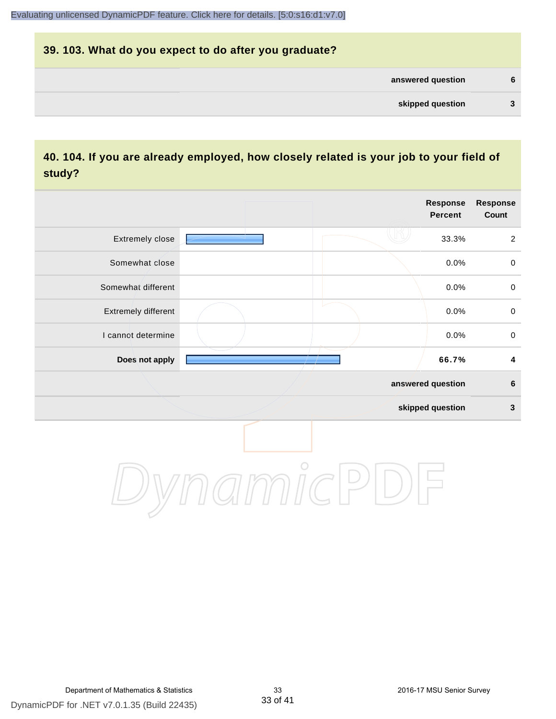# **39. 103. What do you expect to do after you graduate? answered question 6 skipped question 3**

## **40. 104. If you are already employed, how closely related is your job to your field of study?**

|                     |         | <b>Response</b><br><b>Percent</b> | Response<br>Count       |
|---------------------|---------|-----------------------------------|-------------------------|
| Extremely close     |         | 33.3%                             | $\overline{2}$          |
| Somewhat close      |         | 0.0%                              | $\mathsf{O}\xspace$     |
| Somewhat different  |         | 0.0%                              | $\mathsf{O}\xspace$     |
| Extremely different |         | 0.0%                              | $\mathsf{O}\xspace$     |
| I cannot determine  |         | 0.0%                              | $\mathbf 0$             |
| Does not apply      |         | 66.7%                             | $\overline{\mathbf{4}}$ |
|                     |         | answered question                 | $\bf 6$                 |
|                     |         | skipped question                  | $\mathbf{3}$            |
|                     | $\circ$ |                                   |                         |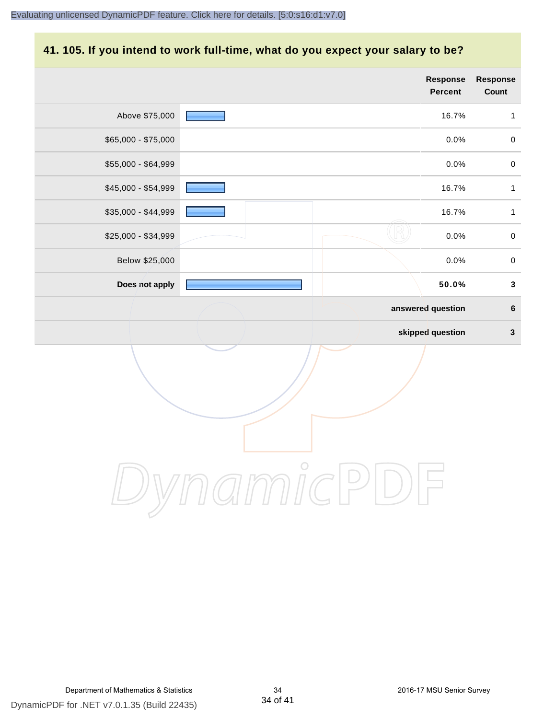#### **41. 105. If you intend to work full-time, what do you expect your salary to be?**

|                     |                   | <b>Response</b><br><b>Percent</b> | Response<br>Count |
|---------------------|-------------------|-----------------------------------|-------------------|
| Above \$75,000      |                   | 16.7%                             | $\mathbf{1}$      |
| \$65,000 - \$75,000 |                   | 0.0%                              | $\pmb{0}$         |
| \$55,000 - \$64,999 |                   | 0.0%                              | $\pmb{0}$         |
| \$45,000 - \$54,999 |                   | 16.7%                             | $\mathbf 1$       |
| \$35,000 - \$44,999 |                   | 16.7%                             | $\mathbf{1}$      |
| \$25,000 - \$34,999 |                   | 0.0%                              | $\mathbf 0$       |
| Below \$25,000      |                   | 0.0%                              | $\pmb{0}$         |
| Does not apply      |                   | 50.0%                             | $\mathbf{3}$      |
|                     | answered question |                                   | $\bf 6$           |
|                     |                   | skipped question                  | $\mathbf 3$       |
|                     |                   |                                   |                   |

DynamicPDF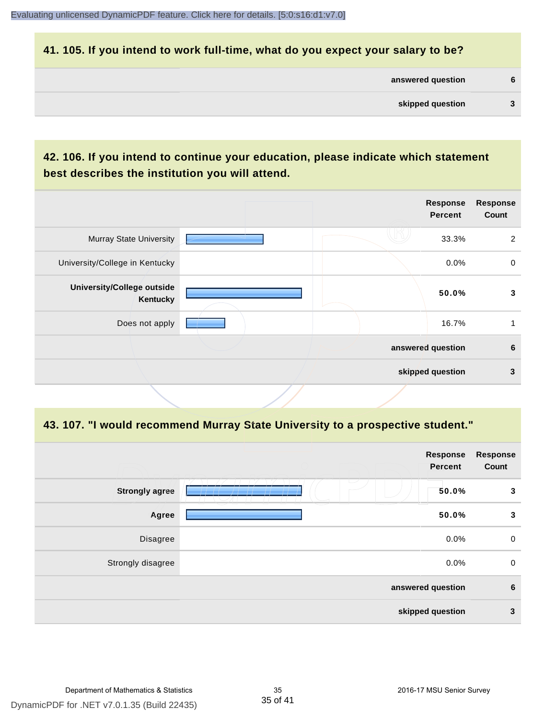#### **41. 105. If you intend to work full-time, what do you expect your salary to be?**

| answered question |  |
|-------------------|--|
| skipped question  |  |

## **42. 106. If you intend to continue your education, please indicate which statement best describes the institution you will attend.**

|                                        |  | <b>Response</b><br><b>Percent</b> | <b>Response</b><br>Count |
|----------------------------------------|--|-----------------------------------|--------------------------|
| <b>Murray State University</b>         |  | 33.3%                             | $\overline{2}$           |
| University/College in Kentucky         |  | 0.0%                              | 0                        |
| University/College outside<br>Kentucky |  | 50.0%                             | 3                        |
| Does not apply                         |  | 16.7%                             |                          |
|                                        |  | answered question                 | 6                        |
|                                        |  | skipped question                  | 3                        |
|                                        |  |                                   |                          |

#### **43. 107. "I would recommend Murray State University to a prospective student."**

|                       | <b>Response</b><br><b>Percent</b> | <b>Response</b><br>Count |
|-----------------------|-----------------------------------|--------------------------|
| <b>Strongly agree</b> | $\overline{\phantom{a}}$<br>50.0% | 3                        |
| Agree                 | 50.0%                             | 3                        |
| Disagree              | 0.0%                              | $\mathbf 0$              |
| Strongly disagree     | 0.0%                              | $\mathbf 0$              |
|                       | answered question                 | $6\phantom{1}6$          |
|                       | skipped question                  | $\mathbf{3}$             |
|                       |                                   |                          |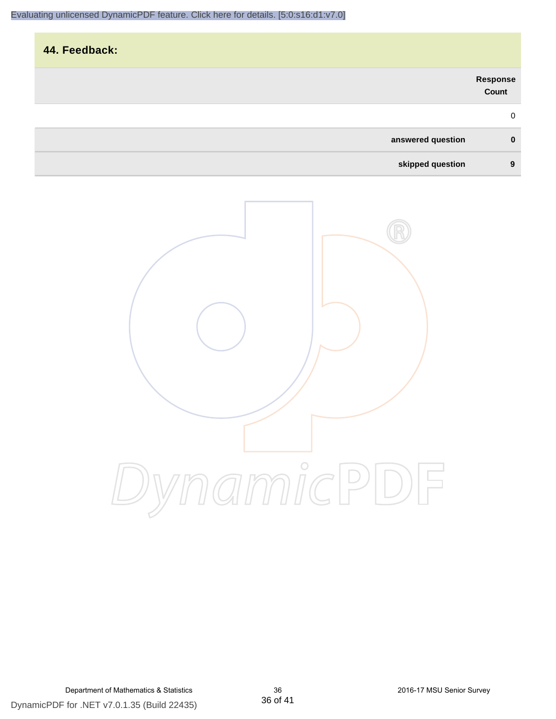| 44. Feedback:     |                   |
|-------------------|-------------------|
|                   | Response<br>Count |
|                   | $\mathbf 0$       |
| answered question | $\mathbf 0$       |
| skipped question  | 9                 |

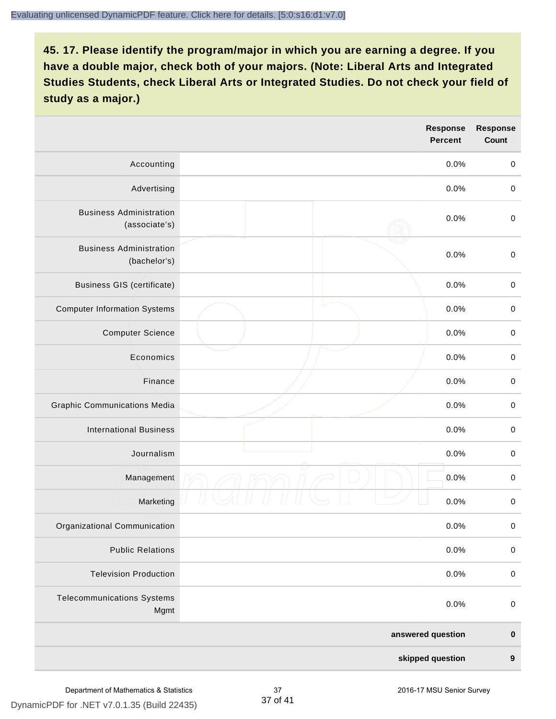|                                                 | Response<br><b>Percent</b> | <b>Response</b><br>Count |
|-------------------------------------------------|----------------------------|--------------------------|
| Accounting                                      | 0.0%                       | $\pmb{0}$                |
| Advertising                                     | 0.0%                       | $\mathbf 0$              |
| <b>Business Administration</b><br>(associate's) | 0.0%                       | $\mathbf 0$              |
| <b>Business Administration</b><br>(bachelor's)  | 0.0%                       | $\pmb{0}$                |
| <b>Business GIS (certificate)</b>               | 0.0%                       | $\mathbf 0$              |
| <b>Computer Information Systems</b>             | 0.0%                       | $\boldsymbol{0}$         |
| <b>Computer Science</b>                         | 0.0%                       | $\pmb{0}$                |
| Economics                                       | 0.0%                       | $\pmb{0}$                |
| Finance                                         | 0.0%                       | $\boldsymbol{0}$         |
| <b>Graphic Communications Media</b>             | 0.0%                       | $\boldsymbol{0}$         |
| <b>International Business</b>                   | 0.0%                       | $\boldsymbol{0}$         |
| Journalism                                      | 0.0%                       | $\pmb{0}$                |
| Management                                      | 0.0%                       | $\boldsymbol{0}$         |
| Marketing                                       | 0.0%                       | $\pmb{0}$                |
| Organizational Communication                    | 0.0%                       | $\pmb{0}$                |
| <b>Public Relations</b>                         | 0.0%                       | $\pmb{0}$                |
| <b>Television Production</b>                    | 0.0%                       | $\mathbf 0$              |
| <b>Telecommunications Systems</b><br>Mgmt       | 0.0%                       | $\pmb{0}$                |
|                                                 | answered question          | $\pmb{0}$                |
|                                                 | skipped question           | $\pmb{9}$                |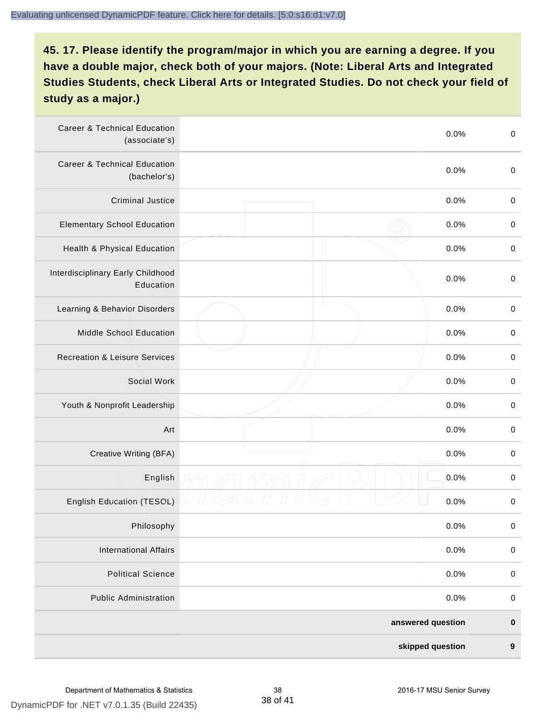| <b>Career &amp; Technical Education</b><br>(associate's) | 0.0%              | $\boldsymbol{0}$ |
|----------------------------------------------------------|-------------------|------------------|
| <b>Career &amp; Technical Education</b><br>(bachelor's)  | 0.0%              | $\boldsymbol{0}$ |
| <b>Criminal Justice</b>                                  | 0.0%              | $\boldsymbol{0}$ |
| <b>Elementary School Education</b>                       | 0.0%              | $\boldsymbol{0}$ |
| Health & Physical Education                              | 0.0%              | $\pmb{0}$        |
| Interdisciplinary Early Childhood<br>Education           | 0.0%              | $\boldsymbol{0}$ |
| Learning & Behavior Disorders                            | 0.0%              | $\boldsymbol{0}$ |
| Middle School Education                                  | 0.0%              | $\boldsymbol{0}$ |
| <b>Recreation &amp; Leisure Services</b>                 | 0.0%              | $\pmb{0}$        |
| Social Work                                              | 0.0%              | $\pmb{0}$        |
| Youth & Nonprofit Leadership                             | 0.0%              | $\boldsymbol{0}$ |
| Art                                                      | 0.0%              | $\boldsymbol{0}$ |
| Creative Writing (BFA)                                   | 0.0%              | $\boldsymbol{0}$ |
| English                                                  | 0.0%              | $\pmb{0}$        |
| <b>English Education (TESOL)</b>                         | 0.0%              | $\pmb{0}$        |
| Philosophy                                               | 0.0%              | 0                |
| <b>International Affairs</b>                             | 0.0%              | $\pmb{0}$        |
| <b>Political Science</b>                                 | 0.0%              | $\pmb{0}$        |
| <b>Public Administration</b>                             | 0.0%              | $\pmb{0}$        |
|                                                          | answered question | $\pmb{0}$        |
|                                                          | skipped question  | $\boldsymbol{9}$ |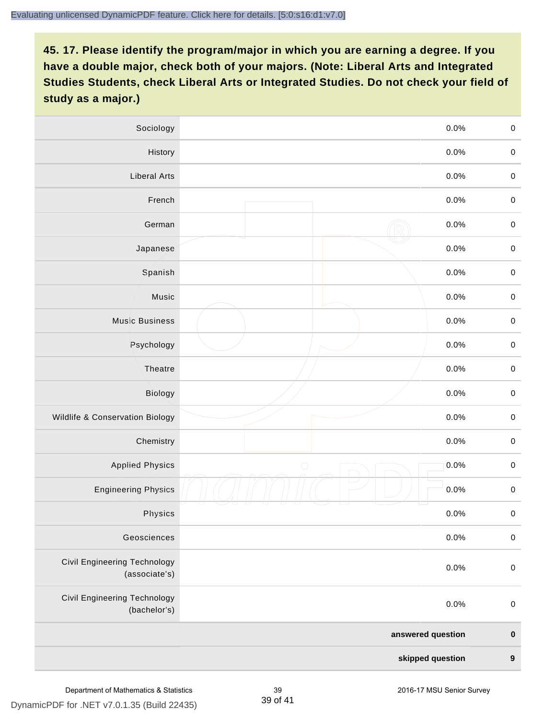| Sociology                                     | 0.0%               | $\mathbf 0$      |
|-----------------------------------------------|--------------------|------------------|
| History                                       | 0.0%               | $\mathbf 0$      |
| <b>Liberal Arts</b>                           | 0.0%               | $\mathbf 0$      |
| French                                        | 0.0%               | $\mathbf 0$      |
| German                                        | 0.0%               | $\mathbf 0$      |
| Japanese                                      | 0.0%               | $\pmb{0}$        |
| Spanish                                       | 0.0%               | $\mathbf 0$      |
| Music                                         | 0.0%               | $\mathbf 0$      |
| <b>Music Business</b>                         | 0.0%               | $\pmb{0}$        |
| Psychology                                    | 0.0%               | $\mathbf 0$      |
| Theatre                                       | 0.0%               | $\mathbf 0$      |
| <b>Biology</b>                                | 0.0%               | $\mathbf 0$      |
| Wildlife & Conservation Biology               | 0.0%               | $\pmb{0}$        |
| Chemistry                                     | 0.0%               | $\mathbf 0$      |
| <b>Applied Physics</b>                        | $\bigcirc$<br>0.0% | $\mathbf 0$      |
| <b>Engineering Physics</b>                    | 0.0%               | $\mathbf 0$      |
| Physics                                       | 0.0%               | $\mathbf 0$      |
| Geosciences                                   | 0.0%               | $\mathbf 0$      |
| Civil Engineering Technology<br>(associate's) | 0.0%               | $\mathbf 0$      |
| Civil Engineering Technology<br>(bachelor's)  | 0.0%               | $\pmb{0}$        |
|                                               | answered question  | $\mathbf 0$      |
|                                               | skipped question   | $\boldsymbol{9}$ |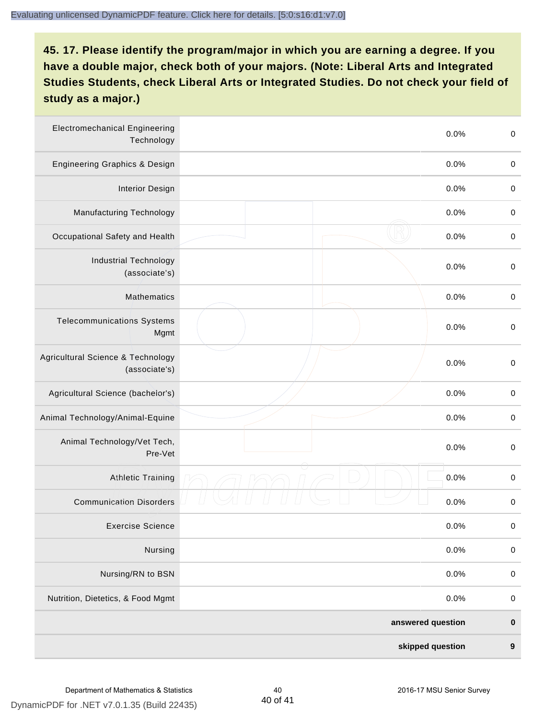| <b>Electromechanical Engineering</b><br>Technology | 0.0%              | $\boldsymbol{0}$ |
|----------------------------------------------------|-------------------|------------------|
| <b>Engineering Graphics &amp; Design</b>           | 0.0%              | $\pmb{0}$        |
| <b>Interior Design</b>                             | 0.0%              | $\boldsymbol{0}$ |
| Manufacturing Technology                           | 0.0%              | $\,0\,$          |
| Occupational Safety and Health                     | 0.0%              | $\boldsymbol{0}$ |
| <b>Industrial Technology</b><br>(associate's)      | 0.0%              | $\,0\,$          |
| Mathematics                                        | 0.0%              | $\pmb{0}$        |
| <b>Telecommunications Systems</b><br>Mgmt          | 0.0%              | $\boldsymbol{0}$ |
| Agricultural Science & Technology<br>(associate's) | 0.0%              | $\boldsymbol{0}$ |
| Agricultural Science (bachelor's)                  | 0.0%              | $\pmb{0}$        |
| Animal Technology/Animal-Equine                    | 0.0%              | $\boldsymbol{0}$ |
| Animal Technology/Vet Tech,<br>Pre-Vet             | 0.0%              | $\boldsymbol{0}$ |
| <b>Athletic Training</b>                           | 0.0%              | $\boldsymbol{0}$ |
| <b>Communication Disorders</b>                     | 0.0%              | $\boldsymbol{0}$ |
| <b>Exercise Science</b>                            | 0.0%              | $\pmb{0}$        |
| Nursing                                            | 0.0%              | $\pmb{0}$        |
| Nursing/RN to BSN                                  | 0.0%              | $\pmb{0}$        |
| Nutrition, Dietetics, & Food Mgmt                  | 0.0%              | $\pmb{0}$        |
|                                                    | answered question | $\pmb{0}$        |
|                                                    | skipped question  | 9                |